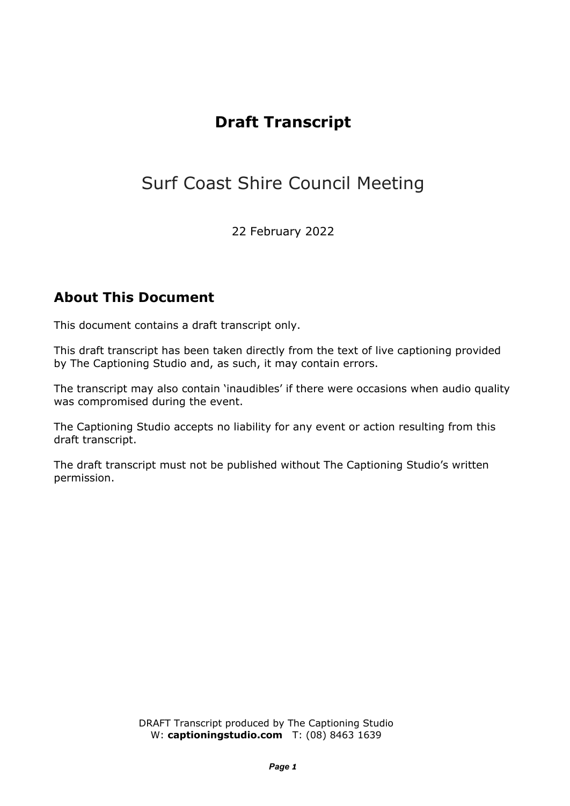## **Draft Transcript**

# Surf Coast Shire Council Meeting

22 February 2022

### **About This Document**

This document contains a draft transcript only.

This draft transcript has been taken directly from the text of live captioning provided by The Captioning Studio and, as such, it may contain errors.

The transcript may also contain 'inaudibles' if there were occasions when audio quality was compromised during the event.

The Captioning Studio accepts no liability for any event or action resulting from this draft transcript.

The draft transcript must not be published without The Captioning Studio's written permission.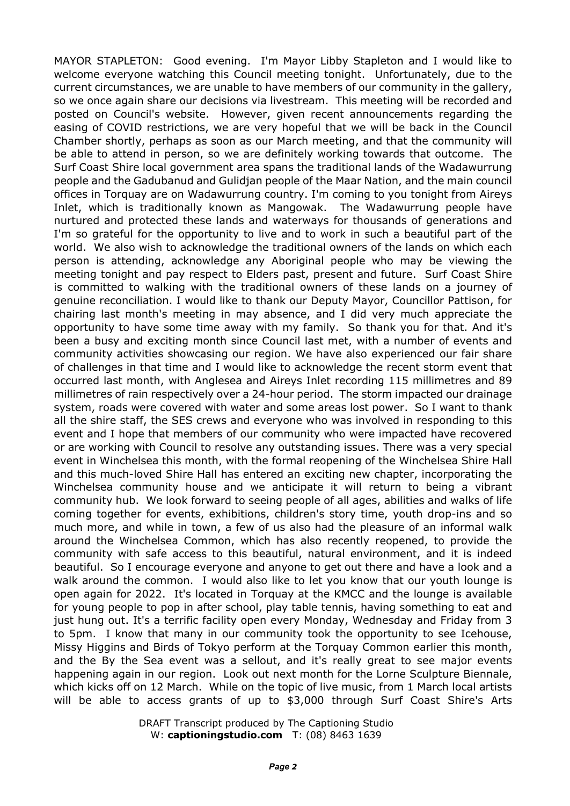MAYOR STAPLETON: Good evening. I'm Mayor Libby Stapleton and I would like to welcome everyone watching this Council meeting tonight. Unfortunately, due to the current circumstances, we are unable to have members of our community in the gallery, so we once again share our decisions via livestream. This meeting will be recorded and posted on Council's website. However, given recent announcements regarding the easing of COVID restrictions, we are very hopeful that we will be back in the Council Chamber shortly, perhaps as soon as our March meeting, and that the community will be able to attend in person, so we are definitely working towards that outcome. The Surf Coast Shire local government area spans the traditional lands of the Wadawurrung people and the Gadubanud and Gulidjan people of the Maar Nation, and the main council offices in Torquay are on Wadawurrung country. I'm coming to you tonight from Aireys Inlet, which is traditionally known as Mangowak. The Wadawurrung people have nurtured and protected these lands and waterways for thousands of generations and I'm so grateful for the opportunity to live and to work in such a beautiful part of the world. We also wish to acknowledge the traditional owners of the lands on which each person is attending, acknowledge any Aboriginal people who may be viewing the meeting tonight and pay respect to Elders past, present and future. Surf Coast Shire is committed to walking with the traditional owners of these lands on a journey of genuine reconciliation. I would like to thank our Deputy Mayor, Councillor Pattison, for chairing last month's meeting in may absence, and I did very much appreciate the opportunity to have some time away with my family. So thank you for that. And it's been a busy and exciting month since Council last met, with a number of events and community activities showcasing our region. We have also experienced our fair share of challenges in that time and I would like to acknowledge the recent storm event that occurred last month, with Anglesea and Aireys Inlet recording 115 millimetres and 89 millimetres of rain respectively over a 24-hour period. The storm impacted our drainage system, roads were covered with water and some areas lost power. So I want to thank all the shire staff, the SES crews and everyone who was involved in responding to this event and I hope that members of our community who were impacted have recovered or are working with Council to resolve any outstanding issues. There was a very special event in Winchelsea this month, with the formal reopening of the Winchelsea Shire Hall and this much-loved Shire Hall has entered an exciting new chapter, incorporating the Winchelsea community house and we anticipate it will return to being a vibrant community hub. We look forward to seeing people of all ages, abilities and walks of life coming together for events, exhibitions, children's story time, youth drop-ins and so much more, and while in town, a few of us also had the pleasure of an informal walk around the Winchelsea Common, which has also recently reopened, to provide the community with safe access to this beautiful, natural environment, and it is indeed beautiful. So I encourage everyone and anyone to get out there and have a look and a walk around the common. I would also like to let you know that our youth lounge is open again for 2022. It's located in Torquay at the KMCC and the lounge is available for young people to pop in after school, play table tennis, having something to eat and just hung out. It's a terrific facility open every Monday, Wednesday and Friday from 3 to 5pm. I know that many in our community took the opportunity to see Icehouse, Missy Higgins and Birds of Tokyo perform at the Torquay Common earlier this month, and the By the Sea event was a sellout, and it's really great to see major events happening again in our region. Look out next month for the Lorne Sculpture Biennale, which kicks off on 12 March. While on the topic of live music, from 1 March local artists will be able to access grants of up to \$3,000 through Surf Coast Shire's Arts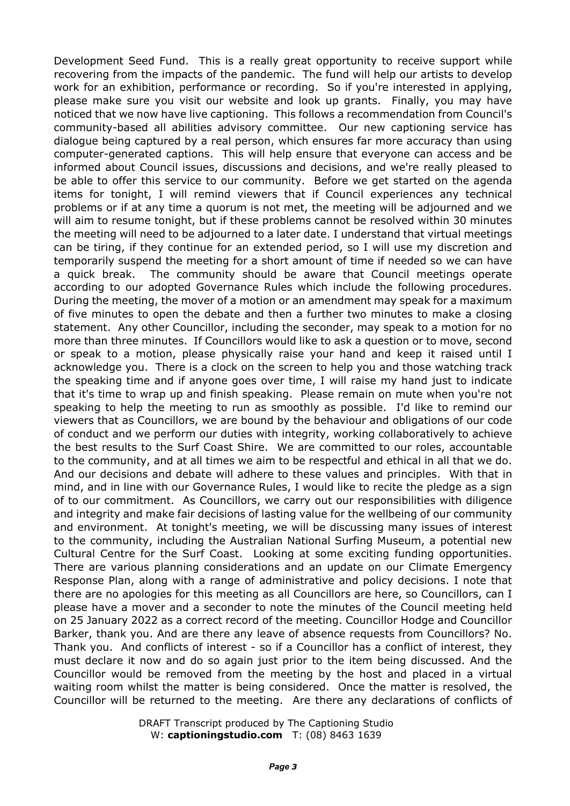Development Seed Fund. This is a really great opportunity to receive support while recovering from the impacts of the pandemic. The fund will help our artists to develop work for an exhibition, performance or recording. So if you're interested in applying, please make sure you visit our website and look up grants. Finally, you may have noticed that we now have live captioning. This follows a recommendation from Council's community-based all abilities advisory committee. Our new captioning service has dialogue being captured by a real person, which ensures far more accuracy than using computer-generated captions. This will help ensure that everyone can access and be informed about Council issues, discussions and decisions, and we're really pleased to be able to offer this service to our community. Before we get started on the agenda items for tonight, I will remind viewers that if Council experiences any technical problems or if at any time a quorum is not met, the meeting will be adjourned and we will aim to resume tonight, but if these problems cannot be resolved within 30 minutes the meeting will need to be adjourned to a later date. I understand that virtual meetings can be tiring, if they continue for an extended period, so I will use my discretion and temporarily suspend the meeting for a short amount of time if needed so we can have a quick break. The community should be aware that Council meetings operate according to our adopted Governance Rules which include the following procedures. During the meeting, the mover of a motion or an amendment may speak for a maximum of five minutes to open the debate and then a further two minutes to make a closing statement. Any other Councillor, including the seconder, may speak to a motion for no more than three minutes. If Councillors would like to ask a question or to move, second or speak to a motion, please physically raise your hand and keep it raised until I acknowledge you. There is a clock on the screen to help you and those watching track the speaking time and if anyone goes over time, I will raise my hand just to indicate that it's time to wrap up and finish speaking. Please remain on mute when you're not speaking to help the meeting to run as smoothly as possible. I'd like to remind our viewers that as Councillors, we are bound by the behaviour and obligations of our code of conduct and we perform our duties with integrity, working collaboratively to achieve the best results to the Surf Coast Shire. We are committed to our roles, accountable to the community, and at all times we aim to be respectful and ethical in all that we do. And our decisions and debate will adhere to these values and principles. With that in mind, and in line with our Governance Rules, I would like to recite the pledge as a sign of to our commitment. As Councillors, we carry out our responsibilities with diligence and integrity and make fair decisions of lasting value for the wellbeing of our community and environment. At tonight's meeting, we will be discussing many issues of interest to the community, including the Australian National Surfing Museum, a potential new Cultural Centre for the Surf Coast. Looking at some exciting funding opportunities. There are various planning considerations and an update on our Climate Emergency Response Plan, along with a range of administrative and policy decisions. I note that there are no apologies for this meeting as all Councillors are here, so Councillors, can I please have a mover and a seconder to note the minutes of the Council meeting held on 25 January 2022 as a correct record of the meeting. Councillor Hodge and Councillor Barker, thank you. And are there any leave of absence requests from Councillors? No. Thank you. And conflicts of interest - so if a Councillor has a conflict of interest, they must declare it now and do so again just prior to the item being discussed. And the Councillor would be removed from the meeting by the host and placed in a virtual waiting room whilst the matter is being considered. Once the matter is resolved, the Councillor will be returned to the meeting. Are there any declarations of conflicts of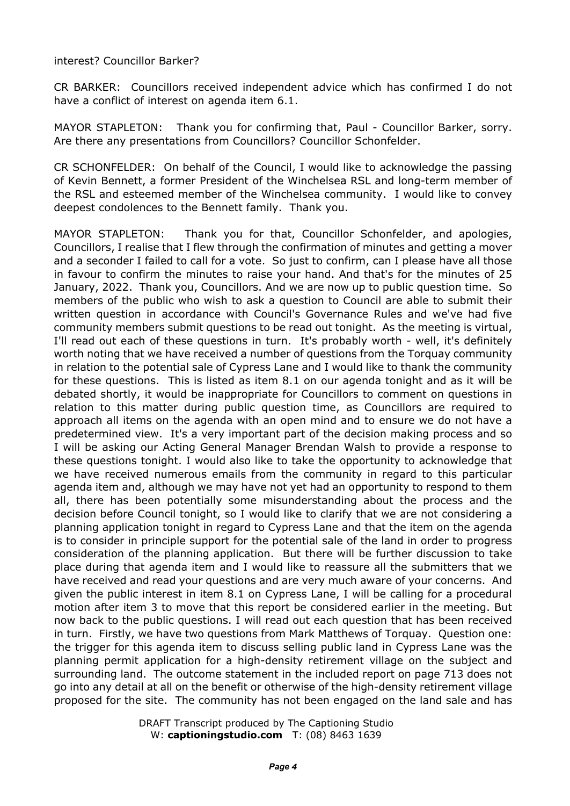### interest? Councillor Barker?

CR BARKER: Councillors received independent advice which has confirmed I do not have a conflict of interest on agenda item 6.1.

MAYOR STAPLETON: Thank you for confirming that, Paul - Councillor Barker, sorry. Are there any presentations from Councillors? Councillor Schonfelder.

CR SCHONFELDER: On behalf of the Council, I would like to acknowledge the passing of Kevin Bennett, a former President of the Winchelsea RSL and long-term member of the RSL and esteemed member of the Winchelsea community. I would like to convey deepest condolences to the Bennett family. Thank you.

MAYOR STAPLETON: Thank you for that, Councillor Schonfelder, and apologies, Councillors, I realise that I flew through the confirmation of minutes and getting a mover and a seconder I failed to call for a vote. So just to confirm, can I please have all those in favour to confirm the minutes to raise your hand. And that's for the minutes of 25 January, 2022. Thank you, Councillors. And we are now up to public question time. So members of the public who wish to ask a question to Council are able to submit their written question in accordance with Council's Governance Rules and we've had five community members submit questions to be read out tonight. As the meeting is virtual, I'll read out each of these questions in turn. It's probably worth - well, it's definitely worth noting that we have received a number of questions from the Torquay community in relation to the potential sale of Cypress Lane and I would like to thank the community for these questions. This is listed as item 8.1 on our agenda tonight and as it will be debated shortly, it would be inappropriate for Councillors to comment on questions in relation to this matter during public question time, as Councillors are required to approach all items on the agenda with an open mind and to ensure we do not have a predetermined view. It's a very important part of the decision making process and so I will be asking our Acting General Manager Brendan Walsh to provide a response to these questions tonight. I would also like to take the opportunity to acknowledge that we have received numerous emails from the community in regard to this particular agenda item and, although we may have not yet had an opportunity to respond to them all, there has been potentially some misunderstanding about the process and the decision before Council tonight, so I would like to clarify that we are not considering a planning application tonight in regard to Cypress Lane and that the item on the agenda is to consider in principle support for the potential sale of the land in order to progress consideration of the planning application. But there will be further discussion to take place during that agenda item and I would like to reassure all the submitters that we have received and read your questions and are very much aware of your concerns. And given the public interest in item 8.1 on Cypress Lane, I will be calling for a procedural motion after item 3 to move that this report be considered earlier in the meeting. But now back to the public questions. I will read out each question that has been received in turn. Firstly, we have two questions from Mark Matthews of Torquay. Question one: the trigger for this agenda item to discuss selling public land in Cypress Lane was the planning permit application for a high-density retirement village on the subject and surrounding land. The outcome statement in the included report on page 713 does not go into any detail at all on the benefit or otherwise of the high-density retirement village proposed for the site. The community has not been engaged on the land sale and has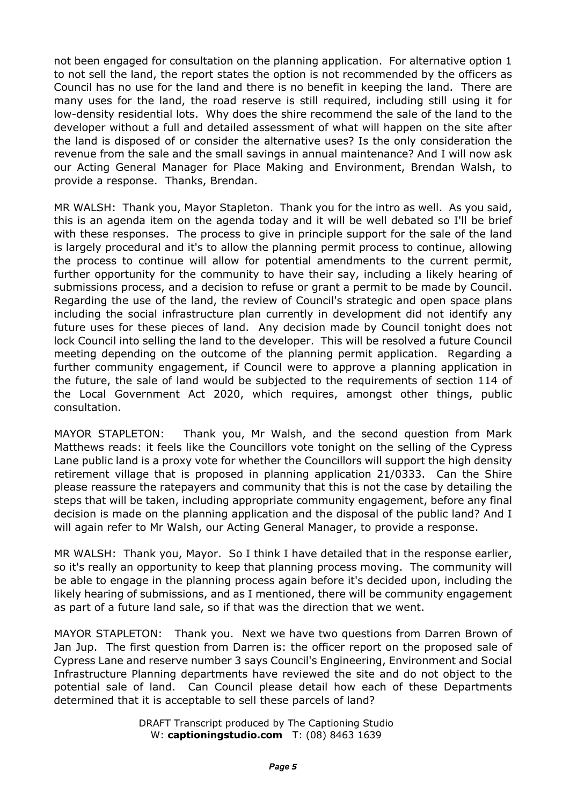not been engaged for consultation on the planning application. For alternative option 1 to not sell the land, the report states the option is not recommended by the officers as Council has no use for the land and there is no benefit in keeping the land. There are many uses for the land, the road reserve is still required, including still using it for low-density residential lots. Why does the shire recommend the sale of the land to the developer without a full and detailed assessment of what will happen on the site after the land is disposed of or consider the alternative uses? Is the only consideration the revenue from the sale and the small savings in annual maintenance? And I will now ask our Acting General Manager for Place Making and Environment, Brendan Walsh, to provide a response. Thanks, Brendan.

MR WALSH: Thank you, Mayor Stapleton. Thank you for the intro as well. As you said, this is an agenda item on the agenda today and it will be well debated so I'll be brief with these responses. The process to give in principle support for the sale of the land is largely procedural and it's to allow the planning permit process to continue, allowing the process to continue will allow for potential amendments to the current permit, further opportunity for the community to have their say, including a likely hearing of submissions process, and a decision to refuse or grant a permit to be made by Council. Regarding the use of the land, the review of Council's strategic and open space plans including the social infrastructure plan currently in development did not identify any future uses for these pieces of land. Any decision made by Council tonight does not lock Council into selling the land to the developer. This will be resolved a future Council meeting depending on the outcome of the planning permit application. Regarding a further community engagement, if Council were to approve a planning application in the future, the sale of land would be subjected to the requirements of section 114 of the Local Government Act 2020, which requires, amongst other things, public consultation.

MAYOR STAPLETON: Thank you, Mr Walsh, and the second question from Mark Matthews reads: it feels like the Councillors vote tonight on the selling of the Cypress Lane public land is a proxy vote for whether the Councillors will support the high density retirement village that is proposed in planning application 21/0333. Can the Shire please reassure the ratepayers and community that this is not the case by detailing the steps that will be taken, including appropriate community engagement, before any final decision is made on the planning application and the disposal of the public land? And I will again refer to Mr Walsh, our Acting General Manager, to provide a response.

MR WALSH: Thank you, Mayor. So I think I have detailed that in the response earlier, so it's really an opportunity to keep that planning process moving. The community will be able to engage in the planning process again before it's decided upon, including the likely hearing of submissions, and as I mentioned, there will be community engagement as part of a future land sale, so if that was the direction that we went.

MAYOR STAPLETON: Thank you. Next we have two questions from Darren Brown of Jan Jup. The first question from Darren is: the officer report on the proposed sale of Cypress Lane and reserve number 3 says Council's Engineering, Environment and Social Infrastructure Planning departments have reviewed the site and do not object to the potential sale of land. Can Council please detail how each of these Departments determined that it is acceptable to sell these parcels of land?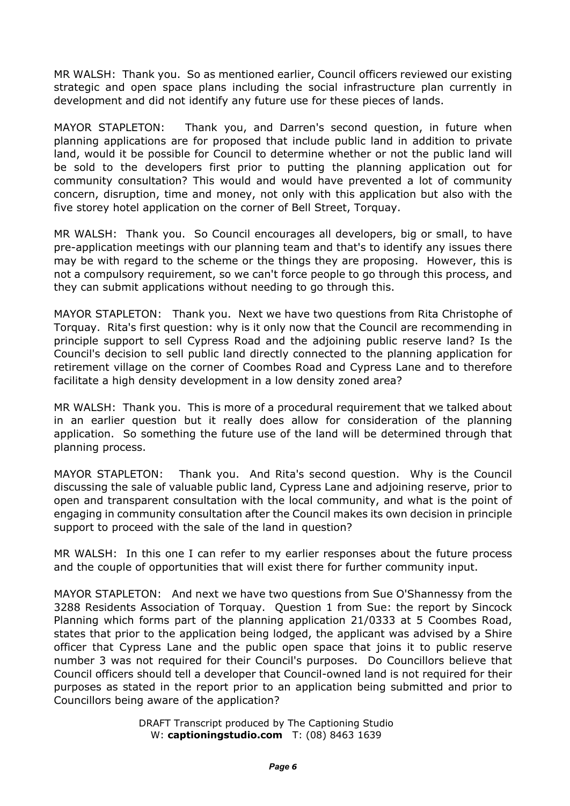MR WALSH: Thank you. So as mentioned earlier, Council officers reviewed our existing strategic and open space plans including the social infrastructure plan currently in development and did not identify any future use for these pieces of lands.

MAYOR STAPLETON: Thank you, and Darren's second question, in future when planning applications are for proposed that include public land in addition to private land, would it be possible for Council to determine whether or not the public land will be sold to the developers first prior to putting the planning application out for community consultation? This would and would have prevented a lot of community concern, disruption, time and money, not only with this application but also with the five storey hotel application on the corner of Bell Street, Torquay.

MR WALSH: Thank you. So Council encourages all developers, big or small, to have pre-application meetings with our planning team and that's to identify any issues there may be with regard to the scheme or the things they are proposing. However, this is not a compulsory requirement, so we can't force people to go through this process, and they can submit applications without needing to go through this.

MAYOR STAPLETON: Thank you. Next we have two questions from Rita Christophe of Torquay. Rita's first question: why is it only now that the Council are recommending in principle support to sell Cypress Road and the adjoining public reserve land? Is the Council's decision to sell public land directly connected to the planning application for retirement village on the corner of Coombes Road and Cypress Lane and to therefore facilitate a high density development in a low density zoned area?

MR WALSH: Thank you. This is more of a procedural requirement that we talked about in an earlier question but it really does allow for consideration of the planning application. So something the future use of the land will be determined through that planning process.

MAYOR STAPLETON: Thank you. And Rita's second question. Why is the Council discussing the sale of valuable public land, Cypress Lane and adjoining reserve, prior to open and transparent consultation with the local community, and what is the point of engaging in community consultation after the Council makes its own decision in principle support to proceed with the sale of the land in question?

MR WALSH: In this one I can refer to my earlier responses about the future process and the couple of opportunities that will exist there for further community input.

MAYOR STAPLETON: And next we have two questions from Sue O'Shannessy from the 3288 Residents Association of Torquay. Question 1 from Sue: the report by Sincock Planning which forms part of the planning application 21/0333 at 5 Coombes Road, states that prior to the application being lodged, the applicant was advised by a Shire officer that Cypress Lane and the public open space that joins it to public reserve number 3 was not required for their Council's purposes. Do Councillors believe that Council officers should tell a developer that Council-owned land is not required for their purposes as stated in the report prior to an application being submitted and prior to Councillors being aware of the application?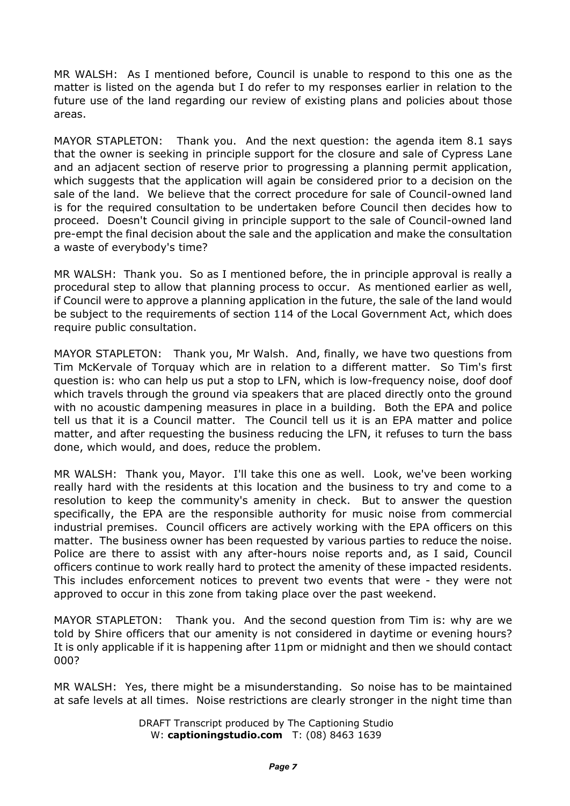MR WALSH: As I mentioned before, Council is unable to respond to this one as the matter is listed on the agenda but I do refer to my responses earlier in relation to the future use of the land regarding our review of existing plans and policies about those areas.

MAYOR STAPLETON: Thank you. And the next question: the agenda item 8.1 says that the owner is seeking in principle support for the closure and sale of Cypress Lane and an adjacent section of reserve prior to progressing a planning permit application, which suggests that the application will again be considered prior to a decision on the sale of the land. We believe that the correct procedure for sale of Council-owned land is for the required consultation to be undertaken before Council then decides how to proceed. Doesn't Council giving in principle support to the sale of Council-owned land pre-empt the final decision about the sale and the application and make the consultation a waste of everybody's time?

MR WALSH: Thank you. So as I mentioned before, the in principle approval is really a procedural step to allow that planning process to occur. As mentioned earlier as well, if Council were to approve a planning application in the future, the sale of the land would be subject to the requirements of section 114 of the Local Government Act, which does require public consultation.

MAYOR STAPLETON: Thank you, Mr Walsh. And, finally, we have two questions from Tim McKervale of Torquay which are in relation to a different matter. So Tim's first question is: who can help us put a stop to LFN, which is low-frequency noise, doof doof which travels through the ground via speakers that are placed directly onto the ground with no acoustic dampening measures in place in a building. Both the EPA and police tell us that it is a Council matter. The Council tell us it is an EPA matter and police matter, and after requesting the business reducing the LFN, it refuses to turn the bass done, which would, and does, reduce the problem.

MR WALSH: Thank you, Mayor. I'll take this one as well. Look, we've been working really hard with the residents at this location and the business to try and come to a resolution to keep the community's amenity in check. But to answer the question specifically, the EPA are the responsible authority for music noise from commercial industrial premises. Council officers are actively working with the EPA officers on this matter. The business owner has been requested by various parties to reduce the noise. Police are there to assist with any after-hours noise reports and, as I said, Council officers continue to work really hard to protect the amenity of these impacted residents. This includes enforcement notices to prevent two events that were - they were not approved to occur in this zone from taking place over the past weekend.

MAYOR STAPLETON: Thank you. And the second question from Tim is: why are we told by Shire officers that our amenity is not considered in daytime or evening hours? It is only applicable if it is happening after 11pm or midnight and then we should contact 000?

MR WALSH: Yes, there might be a misunderstanding. So noise has to be maintained at safe levels at all times. Noise restrictions are clearly stronger in the night time than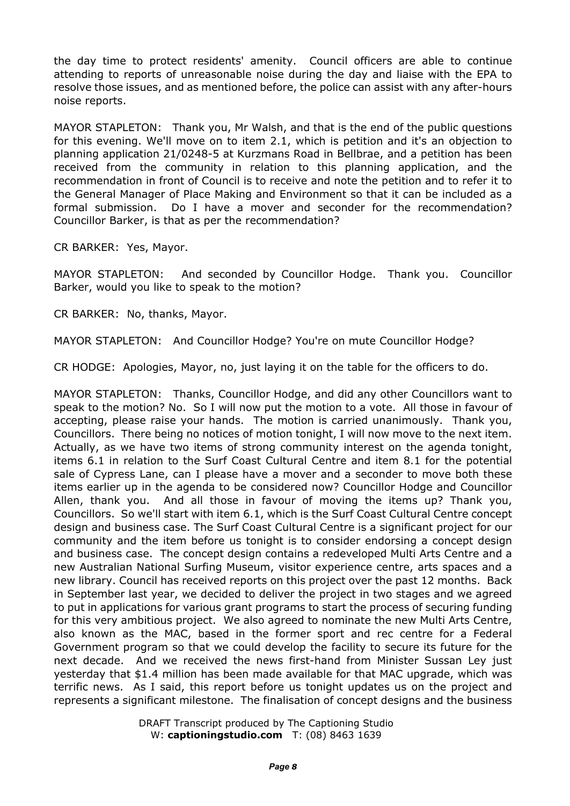the day time to protect residents' amenity. Council officers are able to continue attending to reports of unreasonable noise during the day and liaise with the EPA to resolve those issues, and as mentioned before, the police can assist with any after-hours noise reports.

MAYOR STAPLETON: Thank you, Mr Walsh, and that is the end of the public questions for this evening. We'll move on to item 2.1, which is petition and it's an objection to planning application 21/0248-5 at Kurzmans Road in Bellbrae, and a petition has been received from the community in relation to this planning application, and the recommendation in front of Council is to receive and note the petition and to refer it to the General Manager of Place Making and Environment so that it can be included as a formal submission. Do I have a mover and seconder for the recommendation? Councillor Barker, is that as per the recommendation?

CR BARKER: Yes, Mayor.

MAYOR STAPLETON: And seconded by Councillor Hodge. Thank you. Councillor Barker, would you like to speak to the motion?

CR BARKER: No, thanks, Mayor.

MAYOR STAPLETON: And Councillor Hodge? You're on mute Councillor Hodge?

CR HODGE: Apologies, Mayor, no, just laying it on the table for the officers to do.

MAYOR STAPLETON: Thanks, Councillor Hodge, and did any other Councillors want to speak to the motion? No. So I will now put the motion to a vote. All those in favour of accepting, please raise your hands. The motion is carried unanimously. Thank you, Councillors. There being no notices of motion tonight, I will now move to the next item. Actually, as we have two items of strong community interest on the agenda tonight, items 6.1 in relation to the Surf Coast Cultural Centre and item 8.1 for the potential sale of Cypress Lane, can I please have a mover and a seconder to move both these items earlier up in the agenda to be considered now? Councillor Hodge and Councillor Allen, thank you. And all those in favour of moving the items up? Thank you, Councillors. So we'll start with item 6.1, which is the Surf Coast Cultural Centre concept design and business case. The Surf Coast Cultural Centre is a significant project for our community and the item before us tonight is to consider endorsing a concept design and business case. The concept design contains a redeveloped Multi Arts Centre and a new Australian National Surfing Museum, visitor experience centre, arts spaces and a new library. Council has received reports on this project over the past 12 months. Back in September last year, we decided to deliver the project in two stages and we agreed to put in applications for various grant programs to start the process of securing funding for this very ambitious project. We also agreed to nominate the new Multi Arts Centre, also known as the MAC, based in the former sport and rec centre for a Federal Government program so that we could develop the facility to secure its future for the next decade. And we received the news first-hand from Minister Sussan Ley just yesterday that \$1.4 million has been made available for that MAC upgrade, which was terrific news. As I said, this report before us tonight updates us on the project and represents a significant milestone. The finalisation of concept designs and the business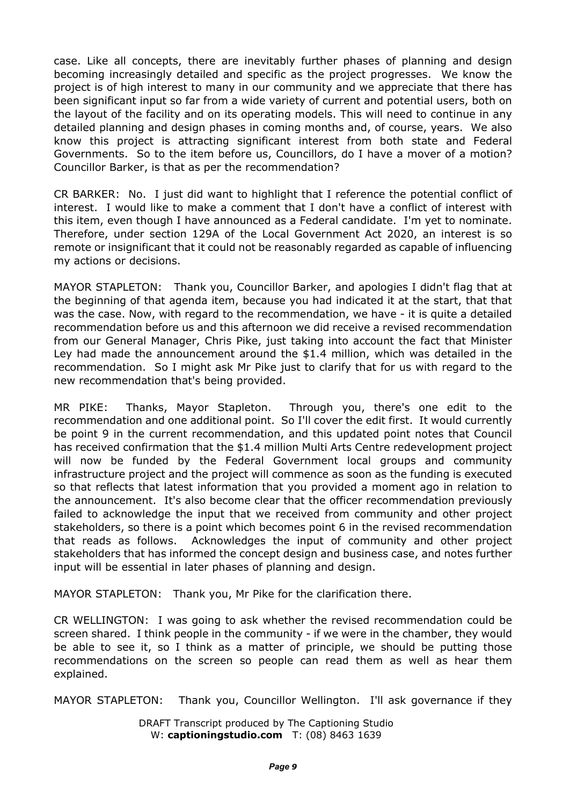case. Like all concepts, there are inevitably further phases of planning and design becoming increasingly detailed and specific as the project progresses. We know the project is of high interest to many in our community and we appreciate that there has been significant input so far from a wide variety of current and potential users, both on the layout of the facility and on its operating models. This will need to continue in any detailed planning and design phases in coming months and, of course, years. We also know this project is attracting significant interest from both state and Federal Governments. So to the item before us, Councillors, do I have a mover of a motion? Councillor Barker, is that as per the recommendation?

CR BARKER: No. I just did want to highlight that I reference the potential conflict of interest. I would like to make a comment that I don't have a conflict of interest with this item, even though I have announced as a Federal candidate. I'm yet to nominate. Therefore, under section 129A of the Local Government Act 2020, an interest is so remote or insignificant that it could not be reasonably regarded as capable of influencing my actions or decisions.

MAYOR STAPLETON: Thank you, Councillor Barker, and apologies I didn't flag that at the beginning of that agenda item, because you had indicated it at the start, that that was the case. Now, with regard to the recommendation, we have - it is quite a detailed recommendation before us and this afternoon we did receive a revised recommendation from our General Manager, Chris Pike, just taking into account the fact that Minister Ley had made the announcement around the \$1.4 million, which was detailed in the recommendation. So I might ask Mr Pike just to clarify that for us with regard to the new recommendation that's being provided.

MR PIKE: Thanks, Mayor Stapleton. Through you, there's one edit to the recommendation and one additional point. So I'll cover the edit first. It would currently be point 9 in the current recommendation, and this updated point notes that Council has received confirmation that the \$1.4 million Multi Arts Centre redevelopment project will now be funded by the Federal Government local groups and community infrastructure project and the project will commence as soon as the funding is executed so that reflects that latest information that you provided a moment ago in relation to the announcement. It's also become clear that the officer recommendation previously failed to acknowledge the input that we received from community and other project stakeholders, so there is a point which becomes point 6 in the revised recommendation that reads as follows. Acknowledges the input of community and other project stakeholders that has informed the concept design and business case, and notes further input will be essential in later phases of planning and design.

MAYOR STAPLETON: Thank you, Mr Pike for the clarification there.

CR WELLINGTON: I was going to ask whether the revised recommendation could be screen shared. I think people in the community - if we were in the chamber, they would be able to see it, so I think as a matter of principle, we should be putting those recommendations on the screen so people can read them as well as hear them explained.

MAYOR STAPLETON: Thank you, Councillor Wellington. I'll ask governance if they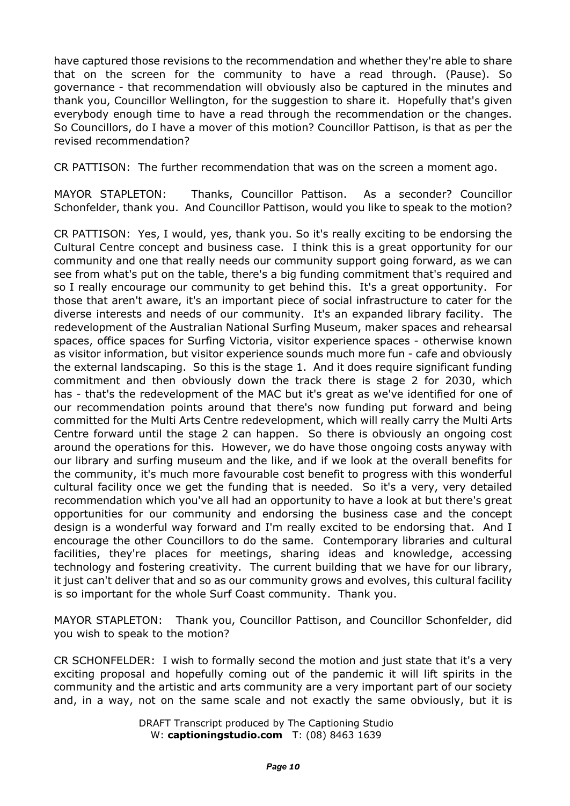have captured those revisions to the recommendation and whether they're able to share that on the screen for the community to have a read through. (Pause). So governance - that recommendation will obviously also be captured in the minutes and thank you, Councillor Wellington, for the suggestion to share it. Hopefully that's given everybody enough time to have a read through the recommendation or the changes. So Councillors, do I have a mover of this motion? Councillor Pattison, is that as per the revised recommendation?

CR PATTISON: The further recommendation that was on the screen a moment ago.

MAYOR STAPLETON: Thanks, Councillor Pattison. As a seconder? Councillor Schonfelder, thank you. And Councillor Pattison, would you like to speak to the motion?

CR PATTISON: Yes, I would, yes, thank you. So it's really exciting to be endorsing the Cultural Centre concept and business case. I think this is a great opportunity for our community and one that really needs our community support going forward, as we can see from what's put on the table, there's a big funding commitment that's required and so I really encourage our community to get behind this. It's a great opportunity. For those that aren't aware, it's an important piece of social infrastructure to cater for the diverse interests and needs of our community. It's an expanded library facility. The redevelopment of the Australian National Surfing Museum, maker spaces and rehearsal spaces, office spaces for Surfing Victoria, visitor experience spaces - otherwise known as visitor information, but visitor experience sounds much more fun - cafe and obviously the external landscaping. So this is the stage 1. And it does require significant funding commitment and then obviously down the track there is stage 2 for 2030, which has - that's the redevelopment of the MAC but it's great as we've identified for one of our recommendation points around that there's now funding put forward and being committed for the Multi Arts Centre redevelopment, which will really carry the Multi Arts Centre forward until the stage 2 can happen. So there is obviously an ongoing cost around the operations for this. However, we do have those ongoing costs anyway with our library and surfing museum and the like, and if we look at the overall benefits for the community, it's much more favourable cost benefit to progress with this wonderful cultural facility once we get the funding that is needed. So it's a very, very detailed recommendation which you've all had an opportunity to have a look at but there's great opportunities for our community and endorsing the business case and the concept design is a wonderful way forward and I'm really excited to be endorsing that. And I encourage the other Councillors to do the same. Contemporary libraries and cultural facilities, they're places for meetings, sharing ideas and knowledge, accessing technology and fostering creativity. The current building that we have for our library, it just can't deliver that and so as our community grows and evolves, this cultural facility is so important for the whole Surf Coast community. Thank you.

MAYOR STAPLETON: Thank you, Councillor Pattison, and Councillor Schonfelder, did you wish to speak to the motion?

CR SCHONFELDER: I wish to formally second the motion and just state that it's a very exciting proposal and hopefully coming out of the pandemic it will lift spirits in the community and the artistic and arts community are a very important part of our society and, in a way, not on the same scale and not exactly the same obviously, but it is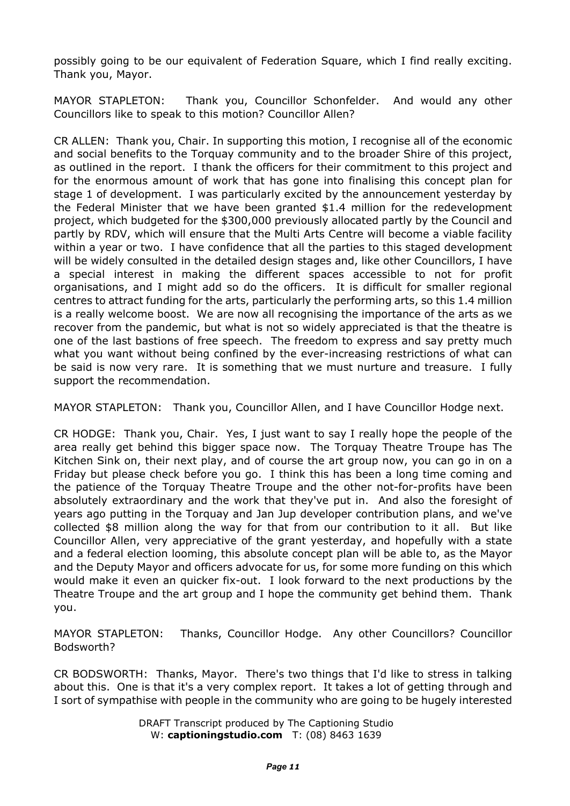possibly going to be our equivalent of Federation Square, which I find really exciting. Thank you, Mayor.

MAYOR STAPLETON: Thank you, Councillor Schonfelder. And would any other Councillors like to speak to this motion? Councillor Allen?

CR ALLEN: Thank you, Chair. In supporting this motion, I recognise all of the economic and social benefits to the Torquay community and to the broader Shire of this project, as outlined in the report. I thank the officers for their commitment to this project and for the enormous amount of work that has gone into finalising this concept plan for stage 1 of development. I was particularly excited by the announcement yesterday by the Federal Minister that we have been granted \$1.4 million for the redevelopment project, which budgeted for the \$300,000 previously allocated partly by the Council and partly by RDV, which will ensure that the Multi Arts Centre will become a viable facility within a year or two. I have confidence that all the parties to this staged development will be widely consulted in the detailed design stages and, like other Councillors, I have a special interest in making the different spaces accessible to not for profit organisations, and I might add so do the officers. It is difficult for smaller regional centres to attract funding for the arts, particularly the performing arts, so this 1.4 million is a really welcome boost. We are now all recognising the importance of the arts as we recover from the pandemic, but what is not so widely appreciated is that the theatre is one of the last bastions of free speech. The freedom to express and say pretty much what you want without being confined by the ever-increasing restrictions of what can be said is now very rare. It is something that we must nurture and treasure. I fully support the recommendation.

MAYOR STAPLETON: Thank you, Councillor Allen, and I have Councillor Hodge next.

CR HODGE: Thank you, Chair. Yes, I just want to say I really hope the people of the area really get behind this bigger space now. The Torquay Theatre Troupe has The Kitchen Sink on, their next play, and of course the art group now, you can go in on a Friday but please check before you go. I think this has been a long time coming and the patience of the Torquay Theatre Troupe and the other not-for-profits have been absolutely extraordinary and the work that they've put in. And also the foresight of years ago putting in the Torquay and Jan Jup developer contribution plans, and we've collected \$8 million along the way for that from our contribution to it all. But like Councillor Allen, very appreciative of the grant yesterday, and hopefully with a state and a federal election looming, this absolute concept plan will be able to, as the Mayor and the Deputy Mayor and officers advocate for us, for some more funding on this which would make it even an quicker fix-out. I look forward to the next productions by the Theatre Troupe and the art group and I hope the community get behind them. Thank you.

MAYOR STAPLETON: Thanks, Councillor Hodge. Any other Councillors? Councillor Bodsworth?

CR BODSWORTH: Thanks, Mayor. There's two things that I'd like to stress in talking about this. One is that it's a very complex report. It takes a lot of getting through and I sort of sympathise with people in the community who are going to be hugely interested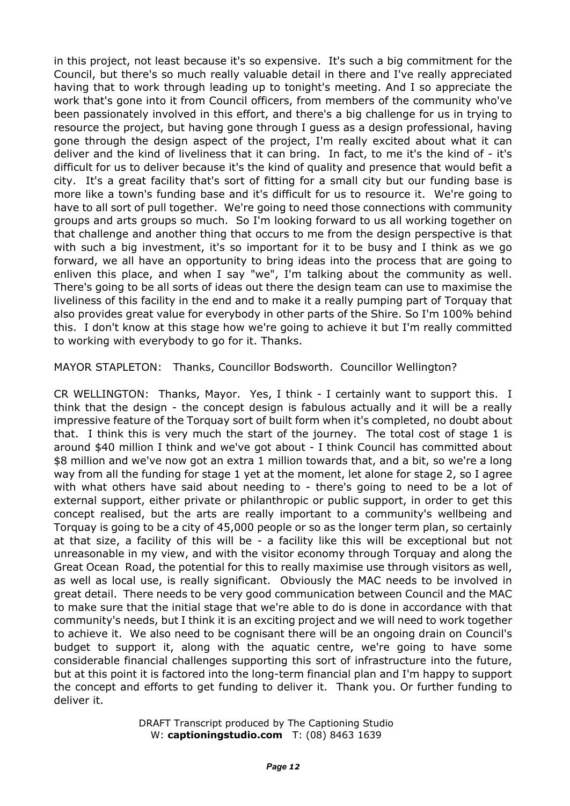in this project, not least because it's so expensive. It's such a big commitment for the Council, but there's so much really valuable detail in there and I've really appreciated having that to work through leading up to tonight's meeting. And I so appreciate the work that's gone into it from Council officers, from members of the community who've been passionately involved in this effort, and there's a big challenge for us in trying to resource the project, but having gone through I guess as a design professional, having gone through the design aspect of the project, I'm really excited about what it can deliver and the kind of liveliness that it can bring. In fact, to me it's the kind of - it's difficult for us to deliver because it's the kind of quality and presence that would befit a city. It's a great facility that's sort of fitting for a small city but our funding base is more like a town's funding base and it's difficult for us to resource it. We're going to have to all sort of pull together. We're going to need those connections with community groups and arts groups so much. So I'm looking forward to us all working together on that challenge and another thing that occurs to me from the design perspective is that with such a big investment, it's so important for it to be busy and I think as we go forward, we all have an opportunity to bring ideas into the process that are going to enliven this place, and when I say "we", I'm talking about the community as well. There's going to be all sorts of ideas out there the design team can use to maximise the liveliness of this facility in the end and to make it a really pumping part of Torquay that also provides great value for everybody in other parts of the Shire. So I'm 100% behind this. I don't know at this stage how we're going to achieve it but I'm really committed to working with everybody to go for it. Thanks.

MAYOR STAPLETON: Thanks, Councillor Bodsworth. Councillor Wellington?

CR WELLINGTON: Thanks, Mayor. Yes, I think - I certainly want to support this. I think that the design - the concept design is fabulous actually and it will be a really impressive feature of the Torquay sort of built form when it's completed, no doubt about that. I think this is very much the start of the journey. The total cost of stage 1 is around \$40 million I think and we've got about - I think Council has committed about \$8 million and we've now got an extra 1 million towards that, and a bit, so we're a long way from all the funding for stage 1 yet at the moment, let alone for stage 2, so I agree with what others have said about needing to - there's going to need to be a lot of external support, either private or philanthropic or public support, in order to get this concept realised, but the arts are really important to a community's wellbeing and Torquay is going to be a city of 45,000 people or so as the longer term plan, so certainly at that size, a facility of this will be - a facility like this will be exceptional but not unreasonable in my view, and with the visitor economy through Torquay and along the Great Ocean Road, the potential for this to really maximise use through visitors as well, as well as local use, is really significant. Obviously the MAC needs to be involved in great detail. There needs to be very good communication between Council and the MAC to make sure that the initial stage that we're able to do is done in accordance with that community's needs, but I think it is an exciting project and we will need to work together to achieve it. We also need to be cognisant there will be an ongoing drain on Council's budget to support it, along with the aquatic centre, we're going to have some considerable financial challenges supporting this sort of infrastructure into the future, but at this point it is factored into the long-term financial plan and I'm happy to support the concept and efforts to get funding to deliver it. Thank you. Or further funding to deliver it.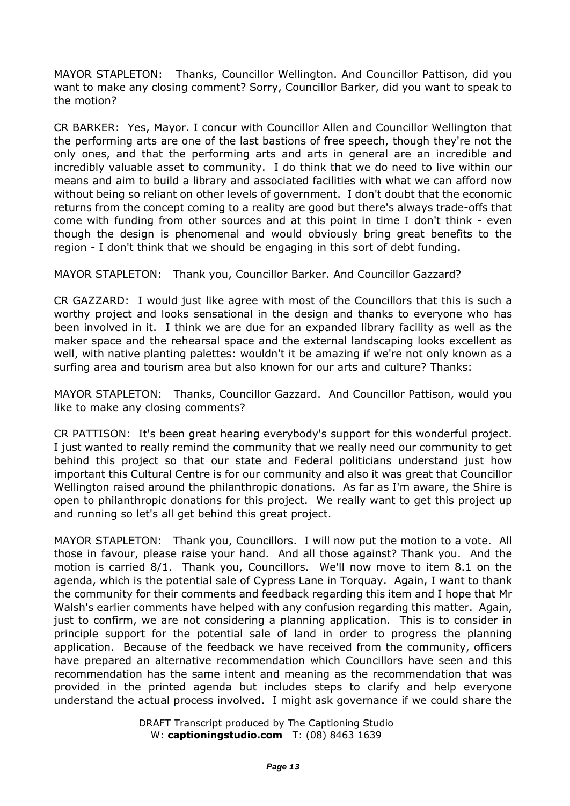MAYOR STAPLETON: Thanks, Councillor Wellington. And Councillor Pattison, did you want to make any closing comment? Sorry, Councillor Barker, did you want to speak to the motion?

CR BARKER: Yes, Mayor. I concur with Councillor Allen and Councillor Wellington that the performing arts are one of the last bastions of free speech, though they're not the only ones, and that the performing arts and arts in general are an incredible and incredibly valuable asset to community. I do think that we do need to live within our means and aim to build a library and associated facilities with what we can afford now without being so reliant on other levels of government. I don't doubt that the economic returns from the concept coming to a reality are good but there's always trade-offs that come with funding from other sources and at this point in time I don't think - even though the design is phenomenal and would obviously bring great benefits to the region - I don't think that we should be engaging in this sort of debt funding.

MAYOR STAPLETON: Thank you, Councillor Barker. And Councillor Gazzard?

CR GAZZARD: I would just like agree with most of the Councillors that this is such a worthy project and looks sensational in the design and thanks to everyone who has been involved in it. I think we are due for an expanded library facility as well as the maker space and the rehearsal space and the external landscaping looks excellent as well, with native planting palettes: wouldn't it be amazing if we're not only known as a surfing area and tourism area but also known for our arts and culture? Thanks:

MAYOR STAPLETON: Thanks, Councillor Gazzard. And Councillor Pattison, would you like to make any closing comments?

CR PATTISON: It's been great hearing everybody's support for this wonderful project. I just wanted to really remind the community that we really need our community to get behind this project so that our state and Federal politicians understand just how important this Cultural Centre is for our community and also it was great that Councillor Wellington raised around the philanthropic donations. As far as I'm aware, the Shire is open to philanthropic donations for this project. We really want to get this project up and running so let's all get behind this great project.

MAYOR STAPLETON: Thank you, Councillors. I will now put the motion to a vote. All those in favour, please raise your hand. And all those against? Thank you. And the motion is carried 8/1. Thank you, Councillors. We'll now move to item 8.1 on the agenda, which is the potential sale of Cypress Lane in Torquay. Again, I want to thank the community for their comments and feedback regarding this item and I hope that Mr Walsh's earlier comments have helped with any confusion regarding this matter. Again, just to confirm, we are not considering a planning application. This is to consider in principle support for the potential sale of land in order to progress the planning application. Because of the feedback we have received from the community, officers have prepared an alternative recommendation which Councillors have seen and this recommendation has the same intent and meaning as the recommendation that was provided in the printed agenda but includes steps to clarify and help everyone understand the actual process involved. I might ask governance if we could share the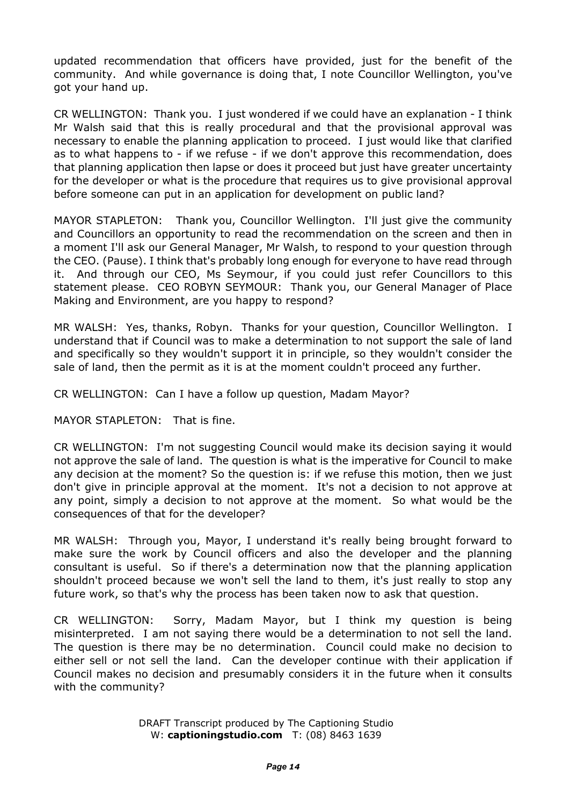updated recommendation that officers have provided, just for the benefit of the community. And while governance is doing that, I note Councillor Wellington, you've got your hand up.

CR WELLINGTON: Thank you. I just wondered if we could have an explanation - I think Mr Walsh said that this is really procedural and that the provisional approval was necessary to enable the planning application to proceed. I just would like that clarified as to what happens to - if we refuse - if we don't approve this recommendation, does that planning application then lapse or does it proceed but just have greater uncertainty for the developer or what is the procedure that requires us to give provisional approval before someone can put in an application for development on public land?

MAYOR STAPLETON: Thank you, Councillor Wellington. I'll just give the community and Councillors an opportunity to read the recommendation on the screen and then in a moment I'll ask our General Manager, Mr Walsh, to respond to your question through the CEO. (Pause). I think that's probably long enough for everyone to have read through it. And through our CEO, Ms Seymour, if you could just refer Councillors to this statement please. CEO ROBYN SEYMOUR: Thank you, our General Manager of Place Making and Environment, are you happy to respond?

MR WALSH: Yes, thanks, Robyn. Thanks for your question, Councillor Wellington. I understand that if Council was to make a determination to not support the sale of land and specifically so they wouldn't support it in principle, so they wouldn't consider the sale of land, then the permit as it is at the moment couldn't proceed any further.

CR WELLINGTON: Can I have a follow up question, Madam Mayor?

MAYOR STAPLETON: That is fine.

CR WELLINGTON: I'm not suggesting Council would make its decision saying it would not approve the sale of land. The question is what is the imperative for Council to make any decision at the moment? So the question is: if we refuse this motion, then we just don't give in principle approval at the moment. It's not a decision to not approve at any point, simply a decision to not approve at the moment. So what would be the consequences of that for the developer?

MR WALSH: Through you, Mayor, I understand it's really being brought forward to make sure the work by Council officers and also the developer and the planning consultant is useful. So if there's a determination now that the planning application shouldn't proceed because we won't sell the land to them, it's just really to stop any future work, so that's why the process has been taken now to ask that question.

CR WELLINGTON: Sorry, Madam Mayor, but I think my question is being misinterpreted. I am not saying there would be a determination to not sell the land. The question is there may be no determination. Council could make no decision to either sell or not sell the land. Can the developer continue with their application if Council makes no decision and presumably considers it in the future when it consults with the community?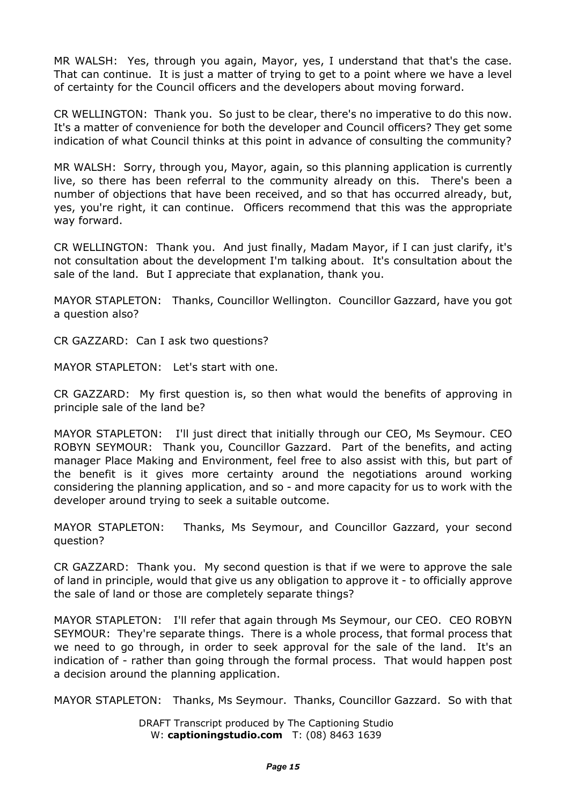MR WALSH: Yes, through you again, Mayor, yes, I understand that that's the case. That can continue. It is just a matter of trying to get to a point where we have a level of certainty for the Council officers and the developers about moving forward.

CR WELLINGTON: Thank you. So just to be clear, there's no imperative to do this now. It's a matter of convenience for both the developer and Council officers? They get some indication of what Council thinks at this point in advance of consulting the community?

MR WALSH: Sorry, through you, Mayor, again, so this planning application is currently live, so there has been referral to the community already on this. There's been a number of objections that have been received, and so that has occurred already, but, yes, you're right, it can continue. Officers recommend that this was the appropriate way forward.

CR WELLINGTON: Thank you. And just finally, Madam Mayor, if I can just clarify, it's not consultation about the development I'm talking about. It's consultation about the sale of the land. But I appreciate that explanation, thank you.

MAYOR STAPLETON: Thanks, Councillor Wellington. Councillor Gazzard, have you got a question also?

CR GAZZARD: Can I ask two questions?

MAYOR STAPLETON: Let's start with one.

CR GAZZARD: My first question is, so then what would the benefits of approving in principle sale of the land be?

MAYOR STAPLETON: I'll just direct that initially through our CEO, Ms Seymour. CEO ROBYN SEYMOUR: Thank you, Councillor Gazzard. Part of the benefits, and acting manager Place Making and Environment, feel free to also assist with this, but part of the benefit is it gives more certainty around the negotiations around working considering the planning application, and so - and more capacity for us to work with the developer around trying to seek a suitable outcome.

MAYOR STAPLETON: Thanks, Ms Seymour, and Councillor Gazzard, your second question?

CR GAZZARD: Thank you. My second question is that if we were to approve the sale of land in principle, would that give us any obligation to approve it - to officially approve the sale of land or those are completely separate things?

MAYOR STAPLETON: I'll refer that again through Ms Seymour, our CEO. CEO ROBYN SEYMOUR: They're separate things. There is a whole process, that formal process that we need to go through, in order to seek approval for the sale of the land. It's an indication of - rather than going through the formal process. That would happen post a decision around the planning application.

MAYOR STAPLETON: Thanks, Ms Seymour. Thanks, Councillor Gazzard. So with that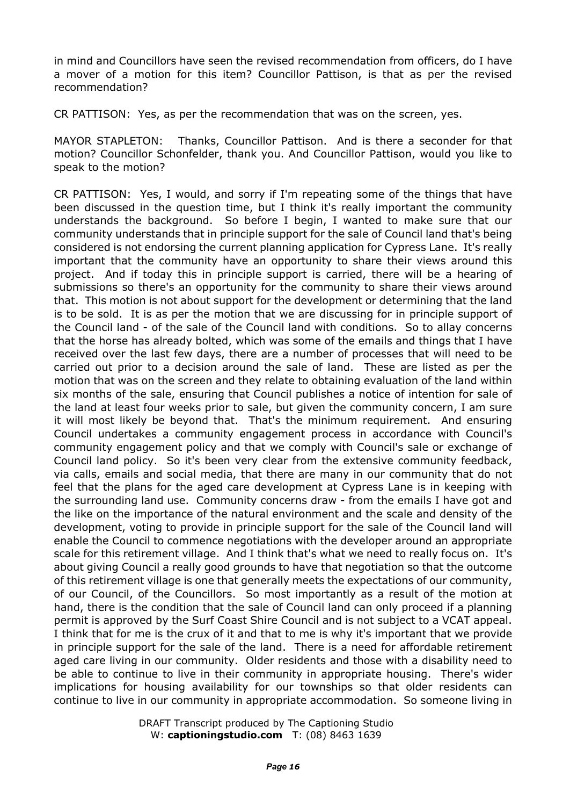in mind and Councillors have seen the revised recommendation from officers, do I have a mover of a motion for this item? Councillor Pattison, is that as per the revised recommendation?

CR PATTISON: Yes, as per the recommendation that was on the screen, yes.

MAYOR STAPLETON: Thanks, Councillor Pattison. And is there a seconder for that motion? Councillor Schonfelder, thank you. And Councillor Pattison, would you like to speak to the motion?

CR PATTISON: Yes, I would, and sorry if I'm repeating some of the things that have been discussed in the question time, but I think it's really important the community understands the background. So before I begin, I wanted to make sure that our community understands that in principle support for the sale of Council land that's being considered is not endorsing the current planning application for Cypress Lane. It's really important that the community have an opportunity to share their views around this project. And if today this in principle support is carried, there will be a hearing of submissions so there's an opportunity for the community to share their views around that. This motion is not about support for the development or determining that the land is to be sold. It is as per the motion that we are discussing for in principle support of the Council land - of the sale of the Council land with conditions. So to allay concerns that the horse has already bolted, which was some of the emails and things that I have received over the last few days, there are a number of processes that will need to be carried out prior to a decision around the sale of land. These are listed as per the motion that was on the screen and they relate to obtaining evaluation of the land within six months of the sale, ensuring that Council publishes a notice of intention for sale of the land at least four weeks prior to sale, but given the community concern, I am sure it will most likely be beyond that. That's the minimum requirement. And ensuring Council undertakes a community engagement process in accordance with Council's community engagement policy and that we comply with Council's sale or exchange of Council land policy. So it's been very clear from the extensive community feedback, via calls, emails and social media, that there are many in our community that do not feel that the plans for the aged care development at Cypress Lane is in keeping with the surrounding land use. Community concerns draw - from the emails I have got and the like on the importance of the natural environment and the scale and density of the development, voting to provide in principle support for the sale of the Council land will enable the Council to commence negotiations with the developer around an appropriate scale for this retirement village. And I think that's what we need to really focus on. It's about giving Council a really good grounds to have that negotiation so that the outcome of this retirement village is one that generally meets the expectations of our community, of our Council, of the Councillors. So most importantly as a result of the motion at hand, there is the condition that the sale of Council land can only proceed if a planning permit is approved by the Surf Coast Shire Council and is not subject to a VCAT appeal. I think that for me is the crux of it and that to me is why it's important that we provide in principle support for the sale of the land. There is a need for affordable retirement aged care living in our community. Older residents and those with a disability need to be able to continue to live in their community in appropriate housing. There's wider implications for housing availability for our townships so that older residents can continue to live in our community in appropriate accommodation. So someone living in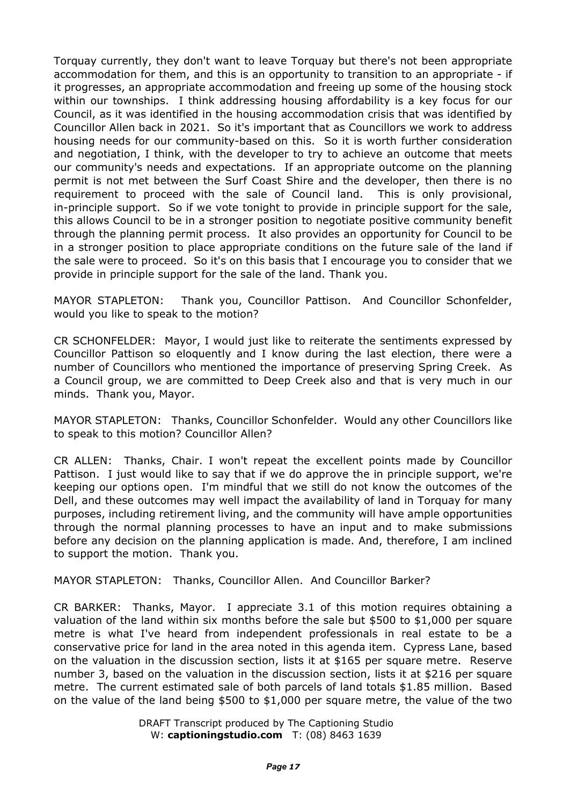Torquay currently, they don't want to leave Torquay but there's not been appropriate accommodation for them, and this is an opportunity to transition to an appropriate - if it progresses, an appropriate accommodation and freeing up some of the housing stock within our townships. I think addressing housing affordability is a key focus for our Council, as it was identified in the housing accommodation crisis that was identified by Councillor Allen back in 2021. So it's important that as Councillors we work to address housing needs for our community-based on this. So it is worth further consideration and negotiation, I think, with the developer to try to achieve an outcome that meets our community's needs and expectations. If an appropriate outcome on the planning permit is not met between the Surf Coast Shire and the developer, then there is no requirement to proceed with the sale of Council land. This is only provisional, in-principle support. So if we vote tonight to provide in principle support for the sale, this allows Council to be in a stronger position to negotiate positive community benefit through the planning permit process. It also provides an opportunity for Council to be in a stronger position to place appropriate conditions on the future sale of the land if the sale were to proceed. So it's on this basis that I encourage you to consider that we provide in principle support for the sale of the land. Thank you.

MAYOR STAPLETON: Thank you, Councillor Pattison. And Councillor Schonfelder, would you like to speak to the motion?

CR SCHONFELDER: Mayor, I would just like to reiterate the sentiments expressed by Councillor Pattison so eloquently and I know during the last election, there were a number of Councillors who mentioned the importance of preserving Spring Creek. As a Council group, we are committed to Deep Creek also and that is very much in our minds. Thank you, Mayor.

MAYOR STAPLETON: Thanks, Councillor Schonfelder. Would any other Councillors like to speak to this motion? Councillor Allen?

CR ALLEN: Thanks, Chair. I won't repeat the excellent points made by Councillor Pattison. I just would like to say that if we do approve the in principle support, we're keeping our options open. I'm mindful that we still do not know the outcomes of the Dell, and these outcomes may well impact the availability of land in Torquay for many purposes, including retirement living, and the community will have ample opportunities through the normal planning processes to have an input and to make submissions before any decision on the planning application is made. And, therefore, I am inclined to support the motion. Thank you.

MAYOR STAPLETON: Thanks, Councillor Allen. And Councillor Barker?

CR BARKER: Thanks, Mayor. I appreciate 3.1 of this motion requires obtaining a valuation of the land within six months before the sale but \$500 to \$1,000 per square metre is what I've heard from independent professionals in real estate to be a conservative price for land in the area noted in this agenda item. Cypress Lane, based on the valuation in the discussion section, lists it at \$165 per square metre. Reserve number 3, based on the valuation in the discussion section, lists it at \$216 per square metre. The current estimated sale of both parcels of land totals \$1.85 million. Based on the value of the land being \$500 to \$1,000 per square metre, the value of the two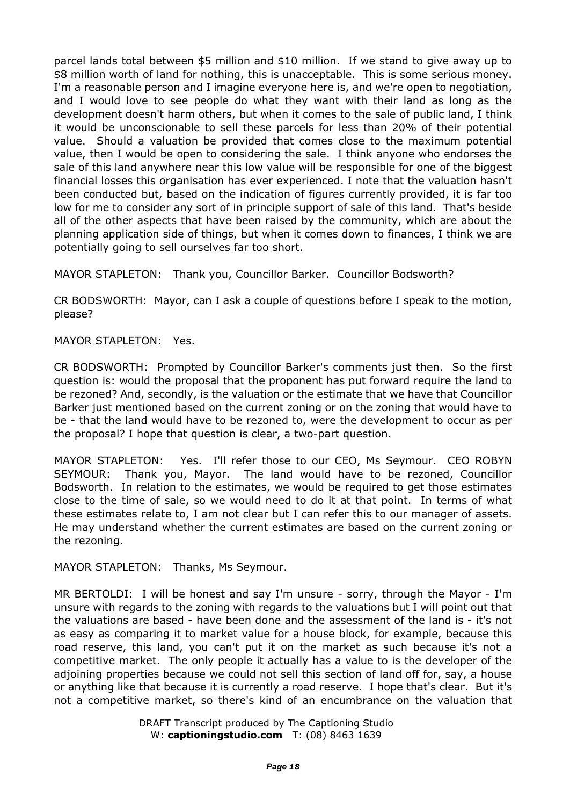parcel lands total between \$5 million and \$10 million. If we stand to give away up to \$8 million worth of land for nothing, this is unacceptable. This is some serious money. I'm a reasonable person and I imagine everyone here is, and we're open to negotiation, and I would love to see people do what they want with their land as long as the development doesn't harm others, but when it comes to the sale of public land, I think it would be unconscionable to sell these parcels for less than 20% of their potential value. Should a valuation be provided that comes close to the maximum potential value, then I would be open to considering the sale. I think anyone who endorses the sale of this land anywhere near this low value will be responsible for one of the biggest financial losses this organisation has ever experienced. I note that the valuation hasn't been conducted but, based on the indication of figures currently provided, it is far too low for me to consider any sort of in principle support of sale of this land. That's beside all of the other aspects that have been raised by the community, which are about the planning application side of things, but when it comes down to finances, I think we are potentially going to sell ourselves far too short.

MAYOR STAPLETON: Thank you, Councillor Barker. Councillor Bodsworth?

CR BODSWORTH: Mayor, can I ask a couple of questions before I speak to the motion, please?

MAYOR STAPLETON: Yes.

CR BODSWORTH: Prompted by Councillor Barker's comments just then. So the first question is: would the proposal that the proponent has put forward require the land to be rezoned? And, secondly, is the valuation or the estimate that we have that Councillor Barker just mentioned based on the current zoning or on the zoning that would have to be - that the land would have to be rezoned to, were the development to occur as per the proposal? I hope that question is clear, a two-part question.

MAYOR STAPLETON: Yes. I'll refer those to our CEO, Ms Seymour. CEO ROBYN SEYMOUR: Thank you, Mayor. The land would have to be rezoned, Councillor Bodsworth. In relation to the estimates, we would be required to get those estimates close to the time of sale, so we would need to do it at that point. In terms of what these estimates relate to, I am not clear but I can refer this to our manager of assets. He may understand whether the current estimates are based on the current zoning or the rezoning.

MAYOR STAPLETON: Thanks, Ms Seymour.

MR BERTOLDI: I will be honest and say I'm unsure - sorry, through the Mayor - I'm unsure with regards to the zoning with regards to the valuations but I will point out that the valuations are based - have been done and the assessment of the land is - it's not as easy as comparing it to market value for a house block, for example, because this road reserve, this land, you can't put it on the market as such because it's not a competitive market. The only people it actually has a value to is the developer of the adjoining properties because we could not sell this section of land off for, say, a house or anything like that because it is currently a road reserve. I hope that's clear. But it's not a competitive market, so there's kind of an encumbrance on the valuation that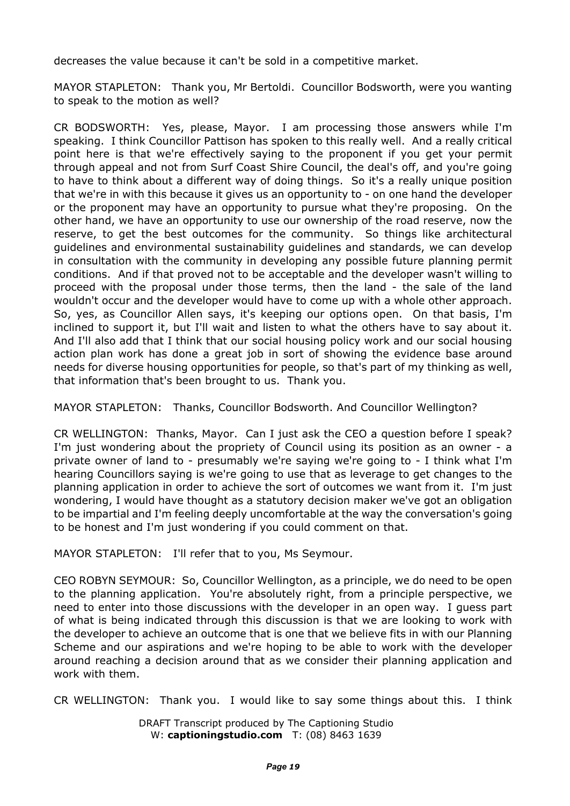decreases the value because it can't be sold in a competitive market.

MAYOR STAPLETON: Thank you, Mr Bertoldi. Councillor Bodsworth, were you wanting to speak to the motion as well?

CR BODSWORTH: Yes, please, Mayor. I am processing those answers while I'm speaking. I think Councillor Pattison has spoken to this really well. And a really critical point here is that we're effectively saying to the proponent if you get your permit through appeal and not from Surf Coast Shire Council, the deal's off, and you're going to have to think about a different way of doing things. So it's a really unique position that we're in with this because it gives us an opportunity to - on one hand the developer or the proponent may have an opportunity to pursue what they're proposing. On the other hand, we have an opportunity to use our ownership of the road reserve, now the reserve, to get the best outcomes for the community. So things like architectural guidelines and environmental sustainability guidelines and standards, we can develop in consultation with the community in developing any possible future planning permit conditions. And if that proved not to be acceptable and the developer wasn't willing to proceed with the proposal under those terms, then the land - the sale of the land wouldn't occur and the developer would have to come up with a whole other approach. So, yes, as Councillor Allen says, it's keeping our options open. On that basis, I'm inclined to support it, but I'll wait and listen to what the others have to say about it. And I'll also add that I think that our social housing policy work and our social housing action plan work has done a great job in sort of showing the evidence base around needs for diverse housing opportunities for people, so that's part of my thinking as well, that information that's been brought to us. Thank you.

MAYOR STAPLETON: Thanks, Councillor Bodsworth. And Councillor Wellington?

CR WELLINGTON: Thanks, Mayor. Can I just ask the CEO a question before I speak? I'm just wondering about the propriety of Council using its position as an owner - a private owner of land to - presumably we're saying we're going to - I think what I'm hearing Councillors saying is we're going to use that as leverage to get changes to the planning application in order to achieve the sort of outcomes we want from it. I'm just wondering, I would have thought as a statutory decision maker we've got an obligation to be impartial and I'm feeling deeply uncomfortable at the way the conversation's going to be honest and I'm just wondering if you could comment on that.

MAYOR STAPLETON: I'll refer that to you, Ms Seymour.

CEO ROBYN SEYMOUR: So, Councillor Wellington, as a principle, we do need to be open to the planning application. You're absolutely right, from a principle perspective, we need to enter into those discussions with the developer in an open way. I guess part of what is being indicated through this discussion is that we are looking to work with the developer to achieve an outcome that is one that we believe fits in with our Planning Scheme and our aspirations and we're hoping to be able to work with the developer around reaching a decision around that as we consider their planning application and work with them.

CR WELLINGTON: Thank you. I would like to say some things about this. I think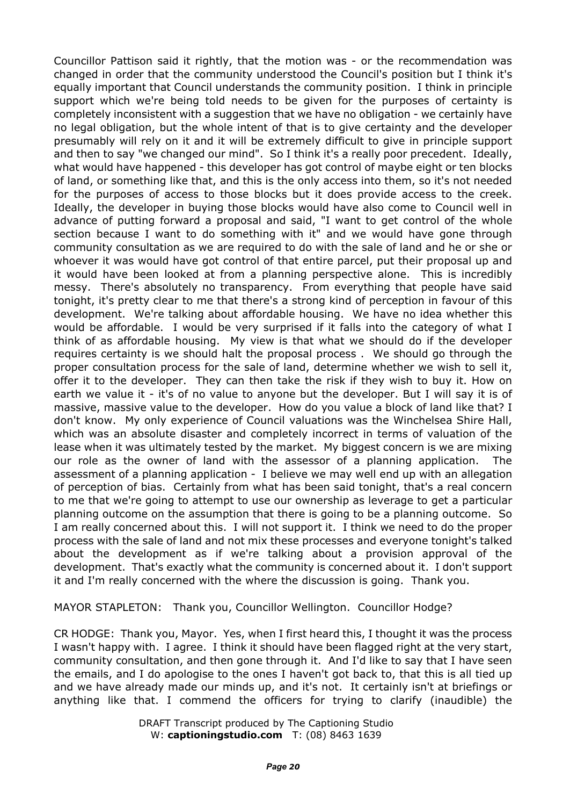Councillor Pattison said it rightly, that the motion was - or the recommendation was changed in order that the community understood the Council's position but I think it's equally important that Council understands the community position. I think in principle support which we're being told needs to be given for the purposes of certainty is completely inconsistent with a suggestion that we have no obligation - we certainly have no legal obligation, but the whole intent of that is to give certainty and the developer presumably will rely on it and it will be extremely difficult to give in principle support and then to say "we changed our mind". So I think it's a really poor precedent. Ideally, what would have happened - this developer has got control of maybe eight or ten blocks of land, or something like that, and this is the only access into them, so it's not needed for the purposes of access to those blocks but it does provide access to the creek. Ideally, the developer in buying those blocks would have also come to Council well in advance of putting forward a proposal and said, "I want to get control of the whole section because I want to do something with it" and we would have gone through community consultation as we are required to do with the sale of land and he or she or whoever it was would have got control of that entire parcel, put their proposal up and it would have been looked at from a planning perspective alone. This is incredibly messy. There's absolutely no transparency. From everything that people have said tonight, it's pretty clear to me that there's a strong kind of perception in favour of this development. We're talking about affordable housing. We have no idea whether this would be affordable. I would be very surprised if it falls into the category of what I think of as affordable housing. My view is that what we should do if the developer requires certainty is we should halt the proposal process . We should go through the proper consultation process for the sale of land, determine whether we wish to sell it, offer it to the developer. They can then take the risk if they wish to buy it. How on earth we value it - it's of no value to anyone but the developer. But I will say it is of massive, massive value to the developer. How do you value a block of land like that? I don't know. My only experience of Council valuations was the Winchelsea Shire Hall, which was an absolute disaster and completely incorrect in terms of valuation of the lease when it was ultimately tested by the market. My biggest concern is we are mixing our role as the owner of land with the assessor of a planning application. The assessment of a planning application - I believe we may well end up with an allegation of perception of bias. Certainly from what has been said tonight, that's a real concern to me that we're going to attempt to use our ownership as leverage to get a particular planning outcome on the assumption that there is going to be a planning outcome. So I am really concerned about this. I will not support it. I think we need to do the proper process with the sale of land and not mix these processes and everyone tonight's talked about the development as if we're talking about a provision approval of the development. That's exactly what the community is concerned about it. I don't support it and I'm really concerned with the where the discussion is going. Thank you.

MAYOR STAPLETON: Thank you, Councillor Wellington. Councillor Hodge?

CR HODGE: Thank you, Mayor. Yes, when I first heard this, I thought it was the process I wasn't happy with. I agree. I think it should have been flagged right at the very start, community consultation, and then gone through it. And I'd like to say that I have seen the emails, and I do apologise to the ones I haven't got back to, that this is all tied up and we have already made our minds up, and it's not. It certainly isn't at briefings or anything like that. I commend the officers for trying to clarify (inaudible) the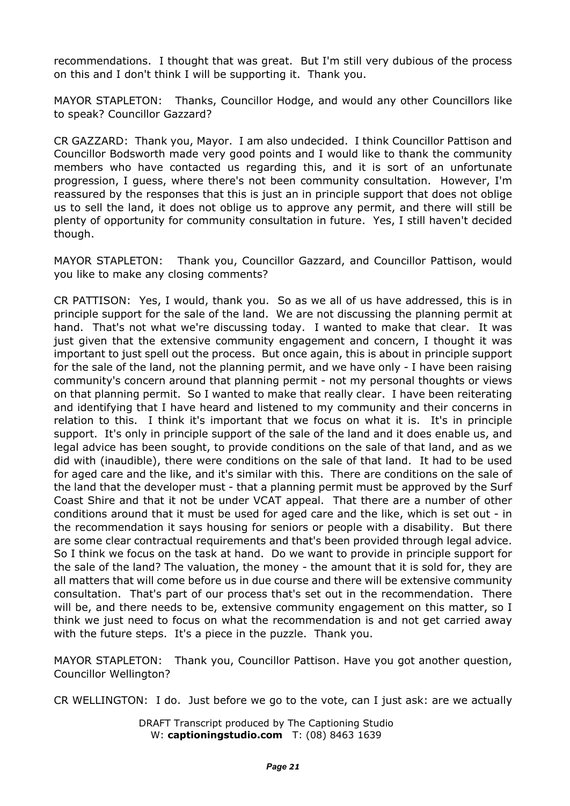recommendations. I thought that was great. But I'm still very dubious of the process on this and I don't think I will be supporting it. Thank you.

MAYOR STAPLETON: Thanks, Councillor Hodge, and would any other Councillors like to speak? Councillor Gazzard?

CR GAZZARD: Thank you, Mayor. I am also undecided. I think Councillor Pattison and Councillor Bodsworth made very good points and I would like to thank the community members who have contacted us regarding this, and it is sort of an unfortunate progression, I guess, where there's not been community consultation. However, I'm reassured by the responses that this is just an in principle support that does not oblige us to sell the land, it does not oblige us to approve any permit, and there will still be plenty of opportunity for community consultation in future. Yes, I still haven't decided though.

MAYOR STAPLETON: Thank you, Councillor Gazzard, and Councillor Pattison, would you like to make any closing comments?

CR PATTISON: Yes, I would, thank you. So as we all of us have addressed, this is in principle support for the sale of the land. We are not discussing the planning permit at hand. That's not what we're discussing today. I wanted to make that clear. It was just given that the extensive community engagement and concern, I thought it was important to just spell out the process. But once again, this is about in principle support for the sale of the land, not the planning permit, and we have only - I have been raising community's concern around that planning permit - not my personal thoughts or views on that planning permit. So I wanted to make that really clear. I have been reiterating and identifying that I have heard and listened to my community and their concerns in relation to this. I think it's important that we focus on what it is. It's in principle support. It's only in principle support of the sale of the land and it does enable us, and legal advice has been sought, to provide conditions on the sale of that land, and as we did with (inaudible), there were conditions on the sale of that land. It had to be used for aged care and the like, and it's similar with this. There are conditions on the sale of the land that the developer must - that a planning permit must be approved by the Surf Coast Shire and that it not be under VCAT appeal. That there are a number of other conditions around that it must be used for aged care and the like, which is set out - in the recommendation it says housing for seniors or people with a disability. But there are some clear contractual requirements and that's been provided through legal advice. So I think we focus on the task at hand. Do we want to provide in principle support for the sale of the land? The valuation, the money - the amount that it is sold for, they are all matters that will come before us in due course and there will be extensive community consultation. That's part of our process that's set out in the recommendation. There will be, and there needs to be, extensive community engagement on this matter, so I think we just need to focus on what the recommendation is and not get carried away with the future steps. It's a piece in the puzzle. Thank you.

MAYOR STAPLETON: Thank you, Councillor Pattison. Have you got another question, Councillor Wellington?

CR WELLINGTON: I do. Just before we go to the vote, can I just ask: are we actually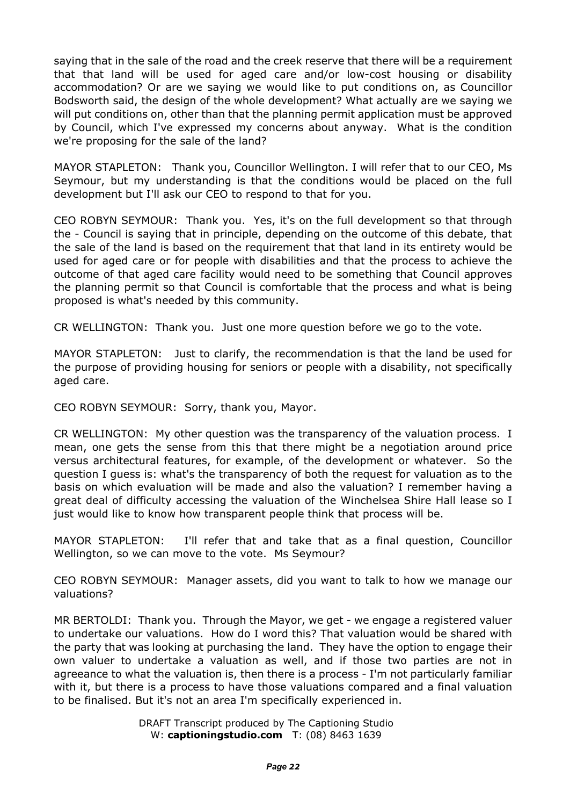saying that in the sale of the road and the creek reserve that there will be a requirement that that land will be used for aged care and/or low-cost housing or disability accommodation? Or are we saying we would like to put conditions on, as Councillor Bodsworth said, the design of the whole development? What actually are we saying we will put conditions on, other than that the planning permit application must be approved by Council, which I've expressed my concerns about anyway. What is the condition we're proposing for the sale of the land?

MAYOR STAPLETON: Thank you, Councillor Wellington. I will refer that to our CEO, Ms Seymour, but my understanding is that the conditions would be placed on the full development but I'll ask our CEO to respond to that for you.

CEO ROBYN SEYMOUR: Thank you. Yes, it's on the full development so that through the - Council is saying that in principle, depending on the outcome of this debate, that the sale of the land is based on the requirement that that land in its entirety would be used for aged care or for people with disabilities and that the process to achieve the outcome of that aged care facility would need to be something that Council approves the planning permit so that Council is comfortable that the process and what is being proposed is what's needed by this community.

CR WELLINGTON: Thank you. Just one more question before we go to the vote.

MAYOR STAPLETON: Just to clarify, the recommendation is that the land be used for the purpose of providing housing for seniors or people with a disability, not specifically aged care.

CEO ROBYN SEYMOUR: Sorry, thank you, Mayor.

CR WELLINGTON: My other question was the transparency of the valuation process. I mean, one gets the sense from this that there might be a negotiation around price versus architectural features, for example, of the development or whatever. So the question I guess is: what's the transparency of both the request for valuation as to the basis on which evaluation will be made and also the valuation? I remember having a great deal of difficulty accessing the valuation of the Winchelsea Shire Hall lease so I just would like to know how transparent people think that process will be.

MAYOR STAPLETON: I'll refer that and take that as a final question, Councillor Wellington, so we can move to the vote. Ms Seymour?

CEO ROBYN SEYMOUR: Manager assets, did you want to talk to how we manage our valuations?

MR BERTOLDI: Thank you. Through the Mayor, we get - we engage a registered valuer to undertake our valuations. How do I word this? That valuation would be shared with the party that was looking at purchasing the land. They have the option to engage their own valuer to undertake a valuation as well, and if those two parties are not in agreeance to what the valuation is, then there is a process - I'm not particularly familiar with it, but there is a process to have those valuations compared and a final valuation to be finalised. But it's not an area I'm specifically experienced in.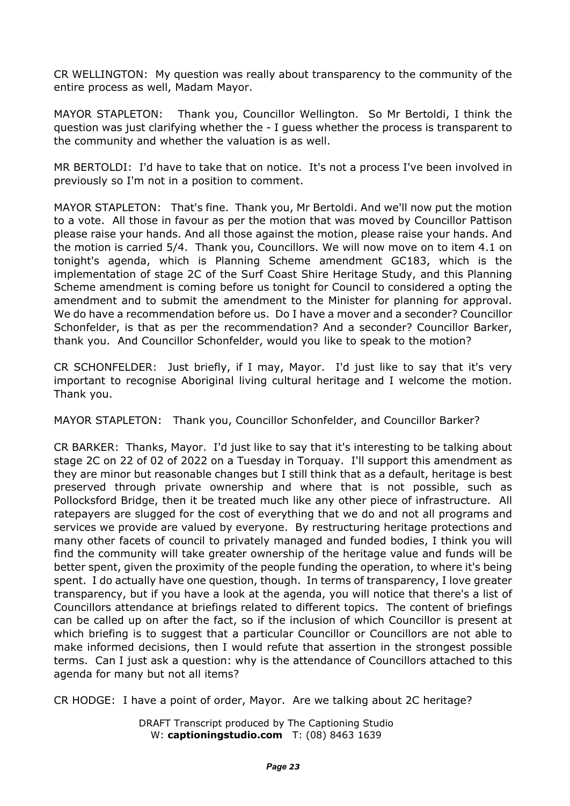CR WELLINGTON: My question was really about transparency to the community of the entire process as well, Madam Mayor.

MAYOR STAPLETON: Thank you, Councillor Wellington. So Mr Bertoldi, I think the question was just clarifying whether the - I guess whether the process is transparent to the community and whether the valuation is as well.

MR BERTOLDI: I'd have to take that on notice. It's not a process I've been involved in previously so I'm not in a position to comment.

MAYOR STAPLETON: That's fine. Thank you, Mr Bertoldi. And we'll now put the motion to a vote. All those in favour as per the motion that was moved by Councillor Pattison please raise your hands. And all those against the motion, please raise your hands. And the motion is carried 5/4. Thank you, Councillors. We will now move on to item 4.1 on tonight's agenda, which is Planning Scheme amendment GC183, which is the implementation of stage 2C of the Surf Coast Shire Heritage Study, and this Planning Scheme amendment is coming before us tonight for Council to considered a opting the amendment and to submit the amendment to the Minister for planning for approval. We do have a recommendation before us. Do I have a mover and a seconder? Councillor Schonfelder, is that as per the recommendation? And a seconder? Councillor Barker, thank you. And Councillor Schonfelder, would you like to speak to the motion?

CR SCHONFELDER: Just briefly, if I may, Mayor. I'd just like to say that it's very important to recognise Aboriginal living cultural heritage and I welcome the motion. Thank you.

MAYOR STAPLETON: Thank you, Councillor Schonfelder, and Councillor Barker?

CR BARKER: Thanks, Mayor. I'd just like to say that it's interesting to be talking about stage 2C on 22 of 02 of 2022 on a Tuesday in Torquay. I'll support this amendment as they are minor but reasonable changes but I still think that as a default, heritage is best preserved through private ownership and where that is not possible, such as Pollocksford Bridge, then it be treated much like any other piece of infrastructure. All ratepayers are slugged for the cost of everything that we do and not all programs and services we provide are valued by everyone. By restructuring heritage protections and many other facets of council to privately managed and funded bodies, I think you will find the community will take greater ownership of the heritage value and funds will be better spent, given the proximity of the people funding the operation, to where it's being spent. I do actually have one question, though. In terms of transparency, I love greater transparency, but if you have a look at the agenda, you will notice that there's a list of Councillors attendance at briefings related to different topics. The content of briefings can be called up on after the fact, so if the inclusion of which Councillor is present at which briefing is to suggest that a particular Councillor or Councillors are not able to make informed decisions, then I would refute that assertion in the strongest possible terms. Can I just ask a question: why is the attendance of Councillors attached to this agenda for many but not all items?

CR HODGE: I have a point of order, Mayor. Are we talking about 2C heritage?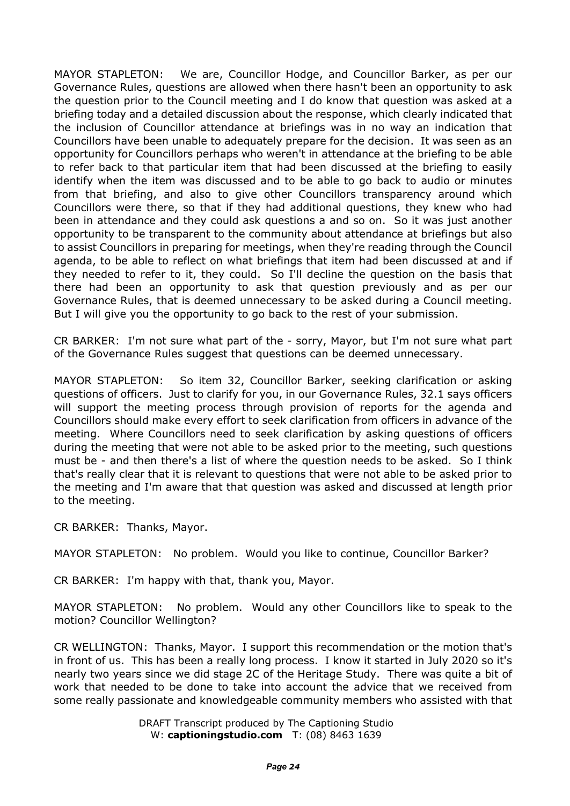MAYOR STAPLETON: We are, Councillor Hodge, and Councillor Barker, as per our Governance Rules, questions are allowed when there hasn't been an opportunity to ask the question prior to the Council meeting and I do know that question was asked at a briefing today and a detailed discussion about the response, which clearly indicated that the inclusion of Councillor attendance at briefings was in no way an indication that Councillors have been unable to adequately prepare for the decision. It was seen as an opportunity for Councillors perhaps who weren't in attendance at the briefing to be able to refer back to that particular item that had been discussed at the briefing to easily identify when the item was discussed and to be able to go back to audio or minutes from that briefing, and also to give other Councillors transparency around which Councillors were there, so that if they had additional questions, they knew who had been in attendance and they could ask questions a and so on. So it was just another opportunity to be transparent to the community about attendance at briefings but also to assist Councillors in preparing for meetings, when they're reading through the Council agenda, to be able to reflect on what briefings that item had been discussed at and if they needed to refer to it, they could. So I'll decline the question on the basis that there had been an opportunity to ask that question previously and as per our Governance Rules, that is deemed unnecessary to be asked during a Council meeting. But I will give you the opportunity to go back to the rest of your submission.

CR BARKER: I'm not sure what part of the - sorry, Mayor, but I'm not sure what part of the Governance Rules suggest that questions can be deemed unnecessary.

MAYOR STAPLETON: So item 32, Councillor Barker, seeking clarification or asking questions of officers. Just to clarify for you, in our Governance Rules, 32.1 says officers will support the meeting process through provision of reports for the agenda and Councillors should make every effort to seek clarification from officers in advance of the meeting. Where Councillors need to seek clarification by asking questions of officers during the meeting that were not able to be asked prior to the meeting, such questions must be - and then there's a list of where the question needs to be asked. So I think that's really clear that it is relevant to questions that were not able to be asked prior to the meeting and I'm aware that that question was asked and discussed at length prior to the meeting.

CR BARKER: Thanks, Mayor.

MAYOR STAPLETON: No problem. Would you like to continue, Councillor Barker?

CR BARKER: I'm happy with that, thank you, Mayor.

MAYOR STAPLETON: No problem. Would any other Councillors like to speak to the motion? Councillor Wellington?

CR WELLINGTON: Thanks, Mayor. I support this recommendation or the motion that's in front of us. This has been a really long process. I know it started in July 2020 so it's nearly two years since we did stage 2C of the Heritage Study. There was quite a bit of work that needed to be done to take into account the advice that we received from some really passionate and knowledgeable community members who assisted with that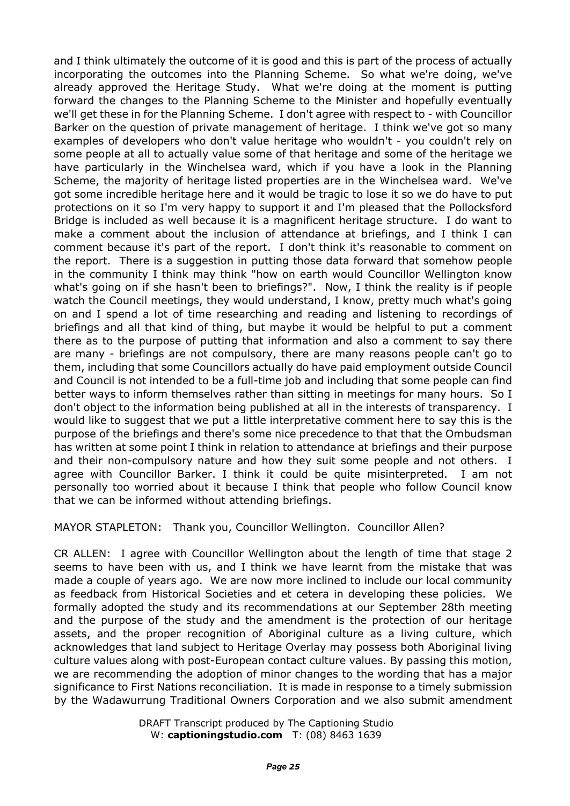and I think ultimately the outcome of it is good and this is part of the process of actually incorporating the outcomes into the Planning Scheme. So what we're doing, we've already approved the Heritage Study. What we're doing at the moment is putting forward the changes to the Planning Scheme to the Minister and hopefully eventually we'll get these in for the Planning Scheme. I don't agree with respect to - with Councillor Barker on the question of private management of heritage. I think we've got so many examples of developers who don't value heritage who wouldn't - you couldn't rely on some people at all to actually value some of that heritage and some of the heritage we have particularly in the Winchelsea ward, which if you have a look in the Planning Scheme, the majority of heritage listed properties are in the Winchelsea ward. We've got some incredible heritage here and it would be tragic to lose it so we do have to put protections on it so I'm very happy to support it and I'm pleased that the Pollocksford Bridge is included as well because it is a magnificent heritage structure. I do want to make a comment about the inclusion of attendance at briefings, and I think I can comment because it's part of the report. I don't think it's reasonable to comment on the report. There is a suggestion in putting those data forward that somehow people in the community I think may think "how on earth would Councillor Wellington know what's going on if she hasn't been to briefings?". Now, I think the reality is if people watch the Council meetings, they would understand, I know, pretty much what's going on and I spend a lot of time researching and reading and listening to recordings of briefings and all that kind of thing, but maybe it would be helpful to put a comment there as to the purpose of putting that information and also a comment to say there are many - briefings are not compulsory, there are many reasons people can't go to them, including that some Councillors actually do have paid employment outside Council and Council is not intended to be a full-time job and including that some people can find better ways to inform themselves rather than sitting in meetings for many hours. So I don't object to the information being published at all in the interests of transparency. I would like to suggest that we put a little interpretative comment here to say this is the purpose of the briefings and there's some nice precedence to that that the Ombudsman has written at some point I think in relation to attendance at briefings and their purpose and their non-compulsory nature and how they suit some people and not others. I agree with Councillor Barker. I think it could be quite misinterpreted. I am not personally too worried about it because I think that people who follow Council know that we can be informed without attending briefings.

MAYOR STAPLETON: Thank you, Councillor Wellington. Councillor Allen?

CR ALLEN: I agree with Councillor Wellington about the length of time that stage 2 seems to have been with us, and I think we have learnt from the mistake that was made a couple of years ago. We are now more inclined to include our local community as feedback from Historical Societies and et cetera in developing these policies. We formally adopted the study and its recommendations at our September 28th meeting and the purpose of the study and the amendment is the protection of our heritage assets, and the proper recognition of Aboriginal culture as a living culture, which acknowledges that land subject to Heritage Overlay may possess both Aboriginal living culture values along with post-European contact culture values. By passing this motion, we are recommending the adoption of minor changes to the wording that has a major significance to First Nations reconciliation. It is made in response to a timely submission by the Wadawurrung Traditional Owners Corporation and we also submit amendment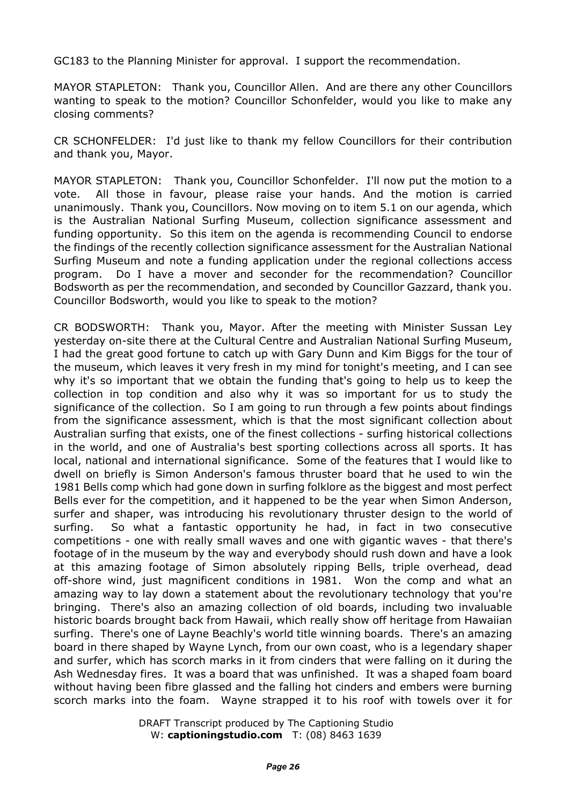GC183 to the Planning Minister for approval. I support the recommendation.

MAYOR STAPLETON: Thank you, Councillor Allen. And are there any other Councillors wanting to speak to the motion? Councillor Schonfelder, would you like to make any closing comments?

CR SCHONFELDER: I'd just like to thank my fellow Councillors for their contribution and thank you, Mayor.

MAYOR STAPLETON: Thank you, Councillor Schonfelder. I'll now put the motion to a vote. All those in favour, please raise your hands. And the motion is carried unanimously. Thank you, Councillors. Now moving on to item 5.1 on our agenda, which is the Australian National Surfing Museum, collection significance assessment and funding opportunity. So this item on the agenda is recommending Council to endorse the findings of the recently collection significance assessment for the Australian National Surfing Museum and note a funding application under the regional collections access program. Do I have a mover and seconder for the recommendation? Councillor Bodsworth as per the recommendation, and seconded by Councillor Gazzard, thank you. Councillor Bodsworth, would you like to speak to the motion?

CR BODSWORTH: Thank you, Mayor. After the meeting with Minister Sussan Ley yesterday on-site there at the Cultural Centre and Australian National Surfing Museum, I had the great good fortune to catch up with Gary Dunn and Kim Biggs for the tour of the museum, which leaves it very fresh in my mind for tonight's meeting, and I can see why it's so important that we obtain the funding that's going to help us to keep the collection in top condition and also why it was so important for us to study the significance of the collection. So I am going to run through a few points about findings from the significance assessment, which is that the most significant collection about Australian surfing that exists, one of the finest collections - surfing historical collections in the world, and one of Australia's best sporting collections across all sports. It has local, national and international significance. Some of the features that I would like to dwell on briefly is Simon Anderson's famous thruster board that he used to win the 1981 Bells comp which had gone down in surfing folklore as the biggest and most perfect Bells ever for the competition, and it happened to be the year when Simon Anderson, surfer and shaper, was introducing his revolutionary thruster design to the world of surfing. So what a fantastic opportunity he had, in fact in two consecutive competitions - one with really small waves and one with gigantic waves - that there's footage of in the museum by the way and everybody should rush down and have a look at this amazing footage of Simon absolutely ripping Bells, triple overhead, dead off-shore wind, just magnificent conditions in 1981. Won the comp and what an amazing way to lay down a statement about the revolutionary technology that you're bringing. There's also an amazing collection of old boards, including two invaluable historic boards brought back from Hawaii, which really show off heritage from Hawaiian surfing. There's one of Layne Beachly's world title winning boards. There's an amazing board in there shaped by Wayne Lynch, from our own coast, who is a legendary shaper and surfer, which has scorch marks in it from cinders that were falling on it during the Ash Wednesday fires. It was a board that was unfinished. It was a shaped foam board without having been fibre glassed and the falling hot cinders and embers were burning scorch marks into the foam. Wayne strapped it to his roof with towels over it for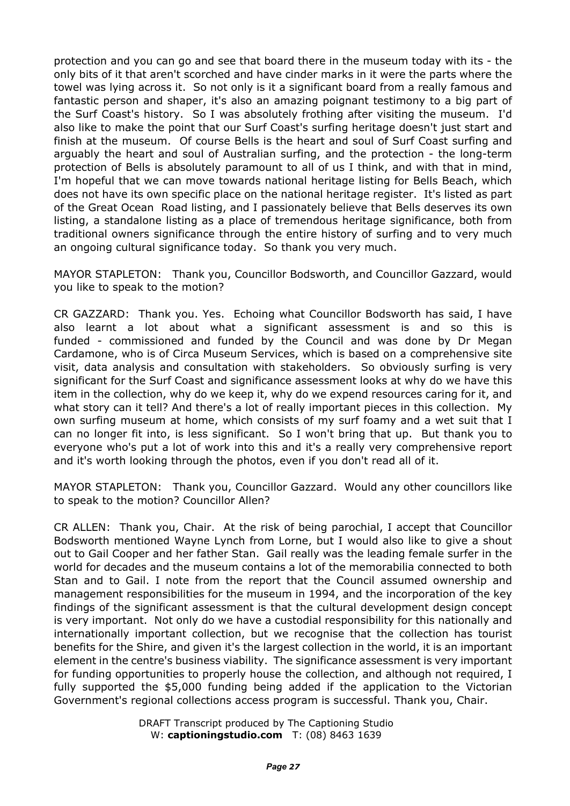protection and you can go and see that board there in the museum today with its - the only bits of it that aren't scorched and have cinder marks in it were the parts where the towel was lying across it. So not only is it a significant board from a really famous and fantastic person and shaper, it's also an amazing poignant testimony to a big part of the Surf Coast's history. So I was absolutely frothing after visiting the museum. I'd also like to make the point that our Surf Coast's surfing heritage doesn't just start and finish at the museum. Of course Bells is the heart and soul of Surf Coast surfing and arguably the heart and soul of Australian surfing, and the protection - the long-term protection of Bells is absolutely paramount to all of us I think, and with that in mind, I'm hopeful that we can move towards national heritage listing for Bells Beach, which does not have its own specific place on the national heritage register. It's listed as part of the Great Ocean Road listing, and I passionately believe that Bells deserves its own listing, a standalone listing as a place of tremendous heritage significance, both from traditional owners significance through the entire history of surfing and to very much an ongoing cultural significance today. So thank you very much.

MAYOR STAPLETON: Thank you, Councillor Bodsworth, and Councillor Gazzard, would you like to speak to the motion?

CR GAZZARD: Thank you. Yes. Echoing what Councillor Bodsworth has said, I have also learnt a lot about what a significant assessment is and so this is funded - commissioned and funded by the Council and was done by Dr Megan Cardamone, who is of Circa Museum Services, which is based on a comprehensive site visit, data analysis and consultation with stakeholders. So obviously surfing is very significant for the Surf Coast and significance assessment looks at why do we have this item in the collection, why do we keep it, why do we expend resources caring for it, and what story can it tell? And there's a lot of really important pieces in this collection. My own surfing museum at home, which consists of my surf foamy and a wet suit that I can no longer fit into, is less significant. So I won't bring that up. But thank you to everyone who's put a lot of work into this and it's a really very comprehensive report and it's worth looking through the photos, even if you don't read all of it.

MAYOR STAPLETON: Thank you, Councillor Gazzard. Would any other councillors like to speak to the motion? Councillor Allen?

CR ALLEN: Thank you, Chair. At the risk of being parochial, I accept that Councillor Bodsworth mentioned Wayne Lynch from Lorne, but I would also like to give a shout out to Gail Cooper and her father Stan. Gail really was the leading female surfer in the world for decades and the museum contains a lot of the memorabilia connected to both Stan and to Gail. I note from the report that the Council assumed ownership and management responsibilities for the museum in 1994, and the incorporation of the key findings of the significant assessment is that the cultural development design concept is very important. Not only do we have a custodial responsibility for this nationally and internationally important collection, but we recognise that the collection has tourist benefits for the Shire, and given it's the largest collection in the world, it is an important element in the centre's business viability. The significance assessment is very important for funding opportunities to properly house the collection, and although not required, I fully supported the \$5,000 funding being added if the application to the Victorian Government's regional collections access program is successful. Thank you, Chair.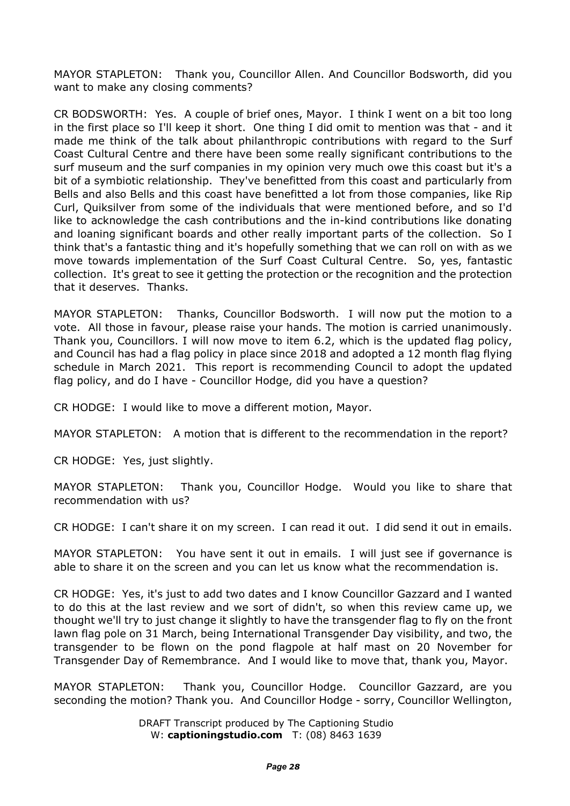MAYOR STAPLETON: Thank you, Councillor Allen. And Councillor Bodsworth, did you want to make any closing comments?

CR BODSWORTH: Yes. A couple of brief ones, Mayor. I think I went on a bit too long in the first place so I'll keep it short. One thing I did omit to mention was that - and it made me think of the talk about philanthropic contributions with regard to the Surf Coast Cultural Centre and there have been some really significant contributions to the surf museum and the surf companies in my opinion very much owe this coast but it's a bit of a symbiotic relationship. They've benefitted from this coast and particularly from Bells and also Bells and this coast have benefitted a lot from those companies, like Rip Curl, Quiksilver from some of the individuals that were mentioned before, and so I'd like to acknowledge the cash contributions and the in-kind contributions like donating and loaning significant boards and other really important parts of the collection. So I think that's a fantastic thing and it's hopefully something that we can roll on with as we move towards implementation of the Surf Coast Cultural Centre. So, yes, fantastic collection. It's great to see it getting the protection or the recognition and the protection that it deserves. Thanks.

MAYOR STAPLETON: Thanks, Councillor Bodsworth. I will now put the motion to a vote. All those in favour, please raise your hands. The motion is carried unanimously. Thank you, Councillors. I will now move to item 6.2, which is the updated flag policy, and Council has had a flag policy in place since 2018 and adopted a 12 month flag flying schedule in March 2021. This report is recommending Council to adopt the updated flag policy, and do I have - Councillor Hodge, did you have a question?

CR HODGE: I would like to move a different motion, Mayor.

MAYOR STAPLETON: A motion that is different to the recommendation in the report?

CR HODGE: Yes, just slightly.

MAYOR STAPLETON: Thank you, Councillor Hodge. Would you like to share that recommendation with us?

CR HODGE: I can't share it on my screen. I can read it out. I did send it out in emails.

MAYOR STAPLETON: You have sent it out in emails. I will just see if governance is able to share it on the screen and you can let us know what the recommendation is.

CR HODGE: Yes, it's just to add two dates and I know Councillor Gazzard and I wanted to do this at the last review and we sort of didn't, so when this review came up, we thought we'll try to just change it slightly to have the transgender flag to fly on the front lawn flag pole on 31 March, being International Transgender Day visibility, and two, the transgender to be flown on the pond flagpole at half mast on 20 November for Transgender Day of Remembrance. And I would like to move that, thank you, Mayor.

MAYOR STAPLETON: Thank you, Councillor Hodge. Councillor Gazzard, are you seconding the motion? Thank you. And Councillor Hodge - sorry, Councillor Wellington,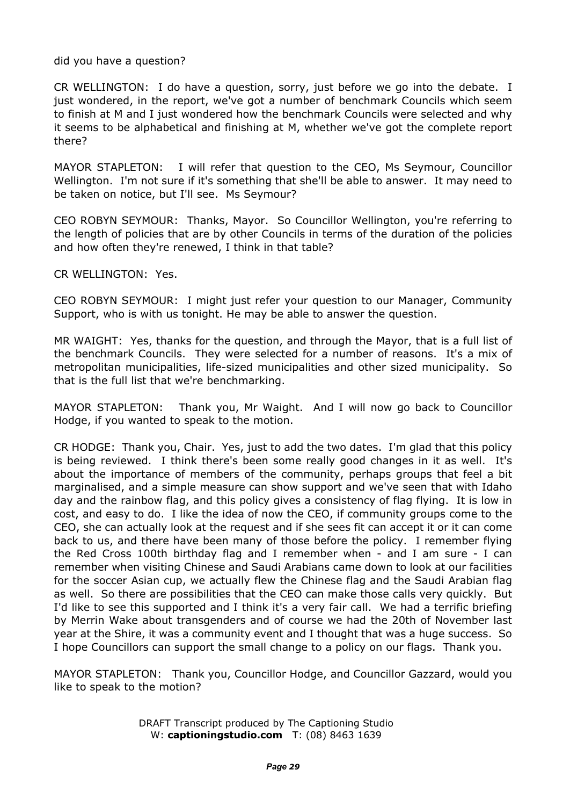did you have a question?

CR WELLINGTON: I do have a question, sorry, just before we go into the debate. I just wondered, in the report, we've got a number of benchmark Councils which seem to finish at M and I just wondered how the benchmark Councils were selected and why it seems to be alphabetical and finishing at M, whether we've got the complete report there?

MAYOR STAPLETON: I will refer that question to the CEO, Ms Seymour, Councillor Wellington. I'm not sure if it's something that she'll be able to answer. It may need to be taken on notice, but I'll see. Ms Seymour?

CEO ROBYN SEYMOUR: Thanks, Mayor. So Councillor Wellington, you're referring to the length of policies that are by other Councils in terms of the duration of the policies and how often they're renewed, I think in that table?

CR WELLINGTON: Yes.

CEO ROBYN SEYMOUR: I might just refer your question to our Manager, Community Support, who is with us tonight. He may be able to answer the question.

MR WAIGHT: Yes, thanks for the question, and through the Mayor, that is a full list of the benchmark Councils. They were selected for a number of reasons. It's a mix of metropolitan municipalities, life-sized municipalities and other sized municipality. So that is the full list that we're benchmarking.

MAYOR STAPLETON: Thank you, Mr Waight. And I will now go back to Councillor Hodge, if you wanted to speak to the motion.

CR HODGE: Thank you, Chair. Yes, just to add the two dates. I'm glad that this policy is being reviewed. I think there's been some really good changes in it as well. It's about the importance of members of the community, perhaps groups that feel a bit marginalised, and a simple measure can show support and we've seen that with Idaho day and the rainbow flag, and this policy gives a consistency of flag flying. It is low in cost, and easy to do. I like the idea of now the CEO, if community groups come to the CEO, she can actually look at the request and if she sees fit can accept it or it can come back to us, and there have been many of those before the policy. I remember flying the Red Cross 100th birthday flag and I remember when - and I am sure - I can remember when visiting Chinese and Saudi Arabians came down to look at our facilities for the soccer Asian cup, we actually flew the Chinese flag and the Saudi Arabian flag as well. So there are possibilities that the CEO can make those calls very quickly. But I'd like to see this supported and I think it's a very fair call. We had a terrific briefing by Merrin Wake about transgenders and of course we had the 20th of November last year at the Shire, it was a community event and I thought that was a huge success. So I hope Councillors can support the small change to a policy on our flags. Thank you.

MAYOR STAPLETON: Thank you, Councillor Hodge, and Councillor Gazzard, would you like to speak to the motion?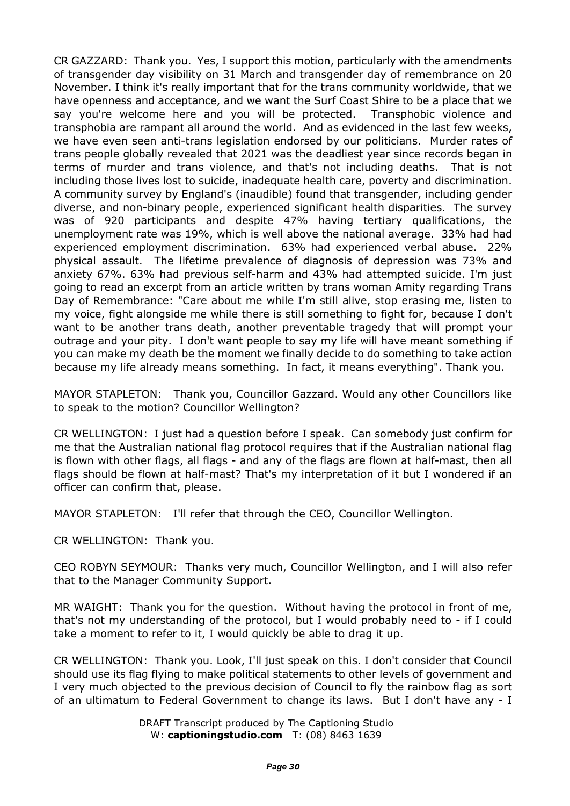CR GAZZARD: Thank you. Yes, I support this motion, particularly with the amendments of transgender day visibility on 31 March and transgender day of remembrance on 20 November. I think it's really important that for the trans community worldwide, that we have openness and acceptance, and we want the Surf Coast Shire to be a place that we say you're welcome here and you will be protected. Transphobic violence and transphobia are rampant all around the world. And as evidenced in the last few weeks, we have even seen anti-trans legislation endorsed by our politicians. Murder rates of trans people globally revealed that 2021 was the deadliest year since records began in terms of murder and trans violence, and that's not including deaths. That is not including those lives lost to suicide, inadequate health care, poverty and discrimination. A community survey by England's (inaudible) found that transgender, including gender diverse, and non-binary people, experienced significant health disparities. The survey was of 920 participants and despite 47% having tertiary qualifications, the unemployment rate was 19%, which is well above the national average. 33% had had experienced employment discrimination. 63% had experienced verbal abuse. 22% physical assault. The lifetime prevalence of diagnosis of depression was 73% and anxiety 67%. 63% had previous self-harm and 43% had attempted suicide. I'm just going to read an excerpt from an article written by trans woman Amity regarding Trans Day of Remembrance: "Care about me while I'm still alive, stop erasing me, listen to my voice, fight alongside me while there is still something to fight for, because I don't want to be another trans death, another preventable tragedy that will prompt your outrage and your pity. I don't want people to say my life will have meant something if you can make my death be the moment we finally decide to do something to take action because my life already means something. In fact, it means everything". Thank you.

MAYOR STAPLETON: Thank you, Councillor Gazzard. Would any other Councillors like to speak to the motion? Councillor Wellington?

CR WELLINGTON: I just had a question before I speak. Can somebody just confirm for me that the Australian national flag protocol requires that if the Australian national flag is flown with other flags, all flags - and any of the flags are flown at half-mast, then all flags should be flown at half-mast? That's my interpretation of it but I wondered if an officer can confirm that, please.

MAYOR STAPLETON: I'll refer that through the CEO, Councillor Wellington.

CR WELLINGTON: Thank you.

CEO ROBYN SEYMOUR: Thanks very much, Councillor Wellington, and I will also refer that to the Manager Community Support.

MR WAIGHT: Thank you for the question. Without having the protocol in front of me, that's not my understanding of the protocol, but I would probably need to - if I could take a moment to refer to it, I would quickly be able to drag it up.

CR WELLINGTON: Thank you. Look, I'll just speak on this. I don't consider that Council should use its flag flying to make political statements to other levels of government and I very much objected to the previous decision of Council to fly the rainbow flag as sort of an ultimatum to Federal Government to change its laws. But I don't have any - I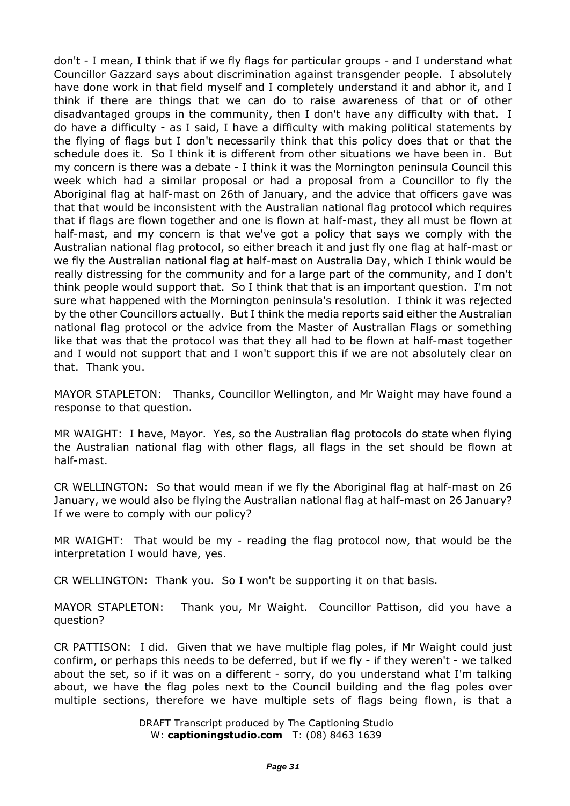don't - I mean, I think that if we fly flags for particular groups - and I understand what Councillor Gazzard says about discrimination against transgender people. I absolutely have done work in that field myself and I completely understand it and abhor it, and I think if there are things that we can do to raise awareness of that or of other disadvantaged groups in the community, then I don't have any difficulty with that. I do have a difficulty - as I said, I have a difficulty with making political statements by the flying of flags but I don't necessarily think that this policy does that or that the schedule does it. So I think it is different from other situations we have been in. But my concern is there was a debate - I think it was the Mornington peninsula Council this week which had a similar proposal or had a proposal from a Councillor to fly the Aboriginal flag at half-mast on 26th of January, and the advice that officers gave was that that would be inconsistent with the Australian national flag protocol which requires that if flags are flown together and one is flown at half-mast, they all must be flown at half-mast, and my concern is that we've got a policy that says we comply with the Australian national flag protocol, so either breach it and just fly one flag at half-mast or we fly the Australian national flag at half-mast on Australia Day, which I think would be really distressing for the community and for a large part of the community, and I don't think people would support that. So I think that that is an important question. I'm not sure what happened with the Mornington peninsula's resolution. I think it was rejected by the other Councillors actually. But I think the media reports said either the Australian national flag protocol or the advice from the Master of Australian Flags or something like that was that the protocol was that they all had to be flown at half-mast together and I would not support that and I won't support this if we are not absolutely clear on that. Thank you.

MAYOR STAPLETON: Thanks, Councillor Wellington, and Mr Waight may have found a response to that question.

MR WAIGHT: I have, Mayor. Yes, so the Australian flag protocols do state when flying the Australian national flag with other flags, all flags in the set should be flown at half-mast.

CR WELLINGTON: So that would mean if we fly the Aboriginal flag at half-mast on 26 January, we would also be flying the Australian national flag at half-mast on 26 January? If we were to comply with our policy?

MR WAIGHT: That would be my - reading the flag protocol now, that would be the interpretation I would have, yes.

CR WELLINGTON: Thank you. So I won't be supporting it on that basis.

MAYOR STAPLETON: Thank you, Mr Waight. Councillor Pattison, did you have a question?

CR PATTISON: I did. Given that we have multiple flag poles, if Mr Waight could just confirm, or perhaps this needs to be deferred, but if we fly - if they weren't - we talked about the set, so if it was on a different - sorry, do you understand what I'm talking about, we have the flag poles next to the Council building and the flag poles over multiple sections, therefore we have multiple sets of flags being flown, is that a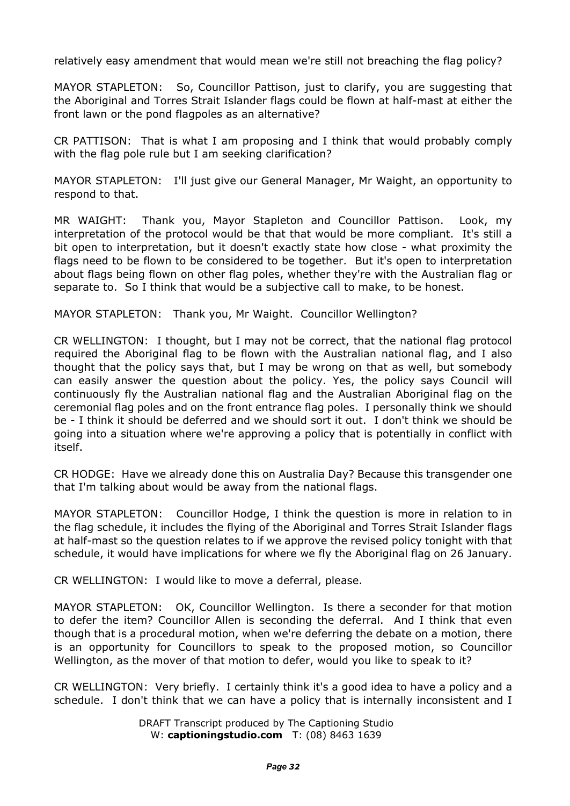relatively easy amendment that would mean we're still not breaching the flag policy?

MAYOR STAPLETON: So, Councillor Pattison, just to clarify, you are suggesting that the Aboriginal and Torres Strait Islander flags could be flown at half-mast at either the front lawn or the pond flagpoles as an alternative?

CR PATTISON: That is what I am proposing and I think that would probably comply with the flag pole rule but I am seeking clarification?

MAYOR STAPLETON: I'll just give our General Manager, Mr Waight, an opportunity to respond to that.

MR WAIGHT: Thank you, Mayor Stapleton and Councillor Pattison. Look, my interpretation of the protocol would be that that would be more compliant. It's still a bit open to interpretation, but it doesn't exactly state how close - what proximity the flags need to be flown to be considered to be together. But it's open to interpretation about flags being flown on other flag poles, whether they're with the Australian flag or separate to. So I think that would be a subjective call to make, to be honest.

MAYOR STAPLETON: Thank you, Mr Waight. Councillor Wellington?

CR WELLINGTON: I thought, but I may not be correct, that the national flag protocol required the Aboriginal flag to be flown with the Australian national flag, and I also thought that the policy says that, but I may be wrong on that as well, but somebody can easily answer the question about the policy. Yes, the policy says Council will continuously fly the Australian national flag and the Australian Aboriginal flag on the ceremonial flag poles and on the front entrance flag poles. I personally think we should be - I think it should be deferred and we should sort it out. I don't think we should be going into a situation where we're approving a policy that is potentially in conflict with itself.

CR HODGE: Have we already done this on Australia Day? Because this transgender one that I'm talking about would be away from the national flags.

MAYOR STAPLETON: Councillor Hodge, I think the question is more in relation to in the flag schedule, it includes the flying of the Aboriginal and Torres Strait Islander flags at half-mast so the question relates to if we approve the revised policy tonight with that schedule, it would have implications for where we fly the Aboriginal flag on 26 January.

CR WELLINGTON: I would like to move a deferral, please.

MAYOR STAPLETON: OK, Councillor Wellington. Is there a seconder for that motion to defer the item? Councillor Allen is seconding the deferral. And I think that even though that is a procedural motion, when we're deferring the debate on a motion, there is an opportunity for Councillors to speak to the proposed motion, so Councillor Wellington, as the mover of that motion to defer, would you like to speak to it?

CR WELLINGTON: Very briefly. I certainly think it's a good idea to have a policy and a schedule. I don't think that we can have a policy that is internally inconsistent and I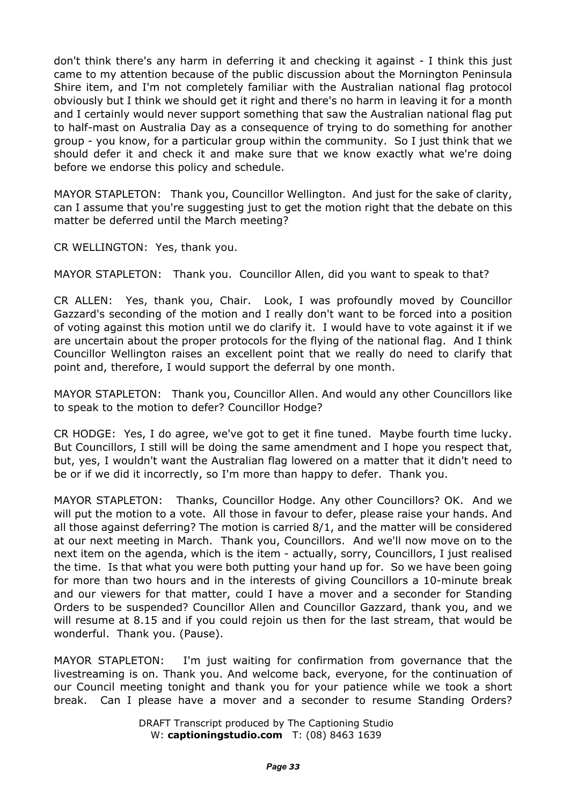don't think there's any harm in deferring it and checking it against - I think this just came to my attention because of the public discussion about the Mornington Peninsula Shire item, and I'm not completely familiar with the Australian national flag protocol obviously but I think we should get it right and there's no harm in leaving it for a month and I certainly would never support something that saw the Australian national flag put to half-mast on Australia Day as a consequence of trying to do something for another group - you know, for a particular group within the community. So I just think that we should defer it and check it and make sure that we know exactly what we're doing before we endorse this policy and schedule.

MAYOR STAPLETON: Thank you, Councillor Wellington. And just for the sake of clarity, can I assume that you're suggesting just to get the motion right that the debate on this matter be deferred until the March meeting?

CR WELLINGTON: Yes, thank you.

MAYOR STAPLETON: Thank you. Councillor Allen, did you want to speak to that?

CR ALLEN: Yes, thank you, Chair. Look, I was profoundly moved by Councillor Gazzard's seconding of the motion and I really don't want to be forced into a position of voting against this motion until we do clarify it. I would have to vote against it if we are uncertain about the proper protocols for the flying of the national flag. And I think Councillor Wellington raises an excellent point that we really do need to clarify that point and, therefore, I would support the deferral by one month.

MAYOR STAPLETON: Thank you, Councillor Allen. And would any other Councillors like to speak to the motion to defer? Councillor Hodge?

CR HODGE: Yes, I do agree, we've got to get it fine tuned. Maybe fourth time lucky. But Councillors, I still will be doing the same amendment and I hope you respect that, but, yes, I wouldn't want the Australian flag lowered on a matter that it didn't need to be or if we did it incorrectly, so I'm more than happy to defer. Thank you.

MAYOR STAPLETON: Thanks, Councillor Hodge. Any other Councillors? OK. And we will put the motion to a vote. All those in favour to defer, please raise your hands. And all those against deferring? The motion is carried 8/1, and the matter will be considered at our next meeting in March. Thank you, Councillors. And we'll now move on to the next item on the agenda, which is the item - actually, sorry, Councillors, I just realised the time. Is that what you were both putting your hand up for. So we have been going for more than two hours and in the interests of giving Councillors a 10-minute break and our viewers for that matter, could I have a mover and a seconder for Standing Orders to be suspended? Councillor Allen and Councillor Gazzard, thank you, and we will resume at 8.15 and if you could rejoin us then for the last stream, that would be wonderful. Thank you. (Pause).

MAYOR STAPLETON: I'm just waiting for confirmation from governance that the livestreaming is on. Thank you. And welcome back, everyone, for the continuation of our Council meeting tonight and thank you for your patience while we took a short break. Can I please have a mover and a seconder to resume Standing Orders?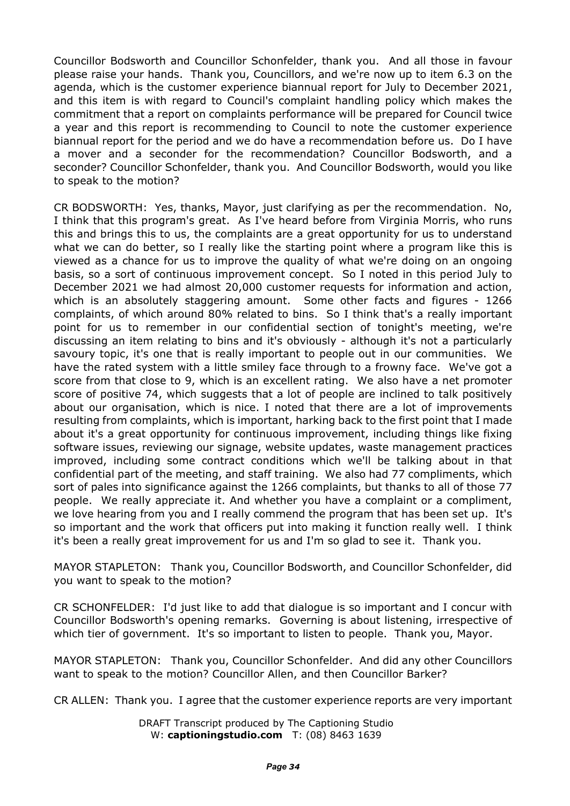Councillor Bodsworth and Councillor Schonfelder, thank you. And all those in favour please raise your hands. Thank you, Councillors, and we're now up to item 6.3 on the agenda, which is the customer experience biannual report for July to December 2021, and this item is with regard to Council's complaint handling policy which makes the commitment that a report on complaints performance will be prepared for Council twice a year and this report is recommending to Council to note the customer experience biannual report for the period and we do have a recommendation before us. Do I have a mover and a seconder for the recommendation? Councillor Bodsworth, and a seconder? Councillor Schonfelder, thank you. And Councillor Bodsworth, would you like to speak to the motion?

CR BODSWORTH: Yes, thanks, Mayor, just clarifying as per the recommendation. No, I think that this program's great. As I've heard before from Virginia Morris, who runs this and brings this to us, the complaints are a great opportunity for us to understand what we can do better, so I really like the starting point where a program like this is viewed as a chance for us to improve the quality of what we're doing on an ongoing basis, so a sort of continuous improvement concept. So I noted in this period July to December 2021 we had almost 20,000 customer requests for information and action, which is an absolutely staggering amount. Some other facts and figures - 1266 complaints, of which around 80% related to bins. So I think that's a really important point for us to remember in our confidential section of tonight's meeting, we're discussing an item relating to bins and it's obviously - although it's not a particularly savoury topic, it's one that is really important to people out in our communities. We have the rated system with a little smiley face through to a frowny face. We've got a score from that close to 9, which is an excellent rating. We also have a net promoter score of positive 74, which suggests that a lot of people are inclined to talk positively about our organisation, which is nice. I noted that there are a lot of improvements resulting from complaints, which is important, harking back to the first point that I made about it's a great opportunity for continuous improvement, including things like fixing software issues, reviewing our signage, website updates, waste management practices improved, including some contract conditions which we'll be talking about in that confidential part of the meeting, and staff training. We also had 77 compliments, which sort of pales into significance against the 1266 complaints, but thanks to all of those 77 people. We really appreciate it. And whether you have a complaint or a compliment, we love hearing from you and I really commend the program that has been set up. It's so important and the work that officers put into making it function really well. I think it's been a really great improvement for us and I'm so glad to see it. Thank you.

MAYOR STAPLETON: Thank you, Councillor Bodsworth, and Councillor Schonfelder, did you want to speak to the motion?

CR SCHONFELDER: I'd just like to add that dialogue is so important and I concur with Councillor Bodsworth's opening remarks. Governing is about listening, irrespective of which tier of government. It's so important to listen to people. Thank you, Mayor.

MAYOR STAPLETON: Thank you, Councillor Schonfelder. And did any other Councillors want to speak to the motion? Councillor Allen, and then Councillor Barker?

CR ALLEN: Thank you. I agree that the customer experience reports are very important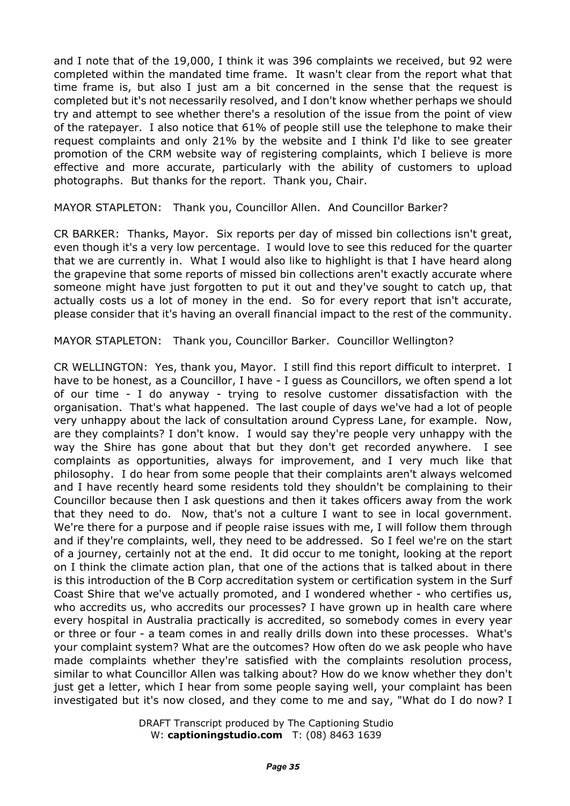and I note that of the 19,000, I think it was 396 complaints we received, but 92 were completed within the mandated time frame. It wasn't clear from the report what that time frame is, but also I just am a bit concerned in the sense that the request is completed but it's not necessarily resolved, and I don't know whether perhaps we should try and attempt to see whether there's a resolution of the issue from the point of view of the ratepayer. I also notice that 61% of people still use the telephone to make their request complaints and only 21% by the website and I think I'd like to see greater promotion of the CRM website way of registering complaints, which I believe is more effective and more accurate, particularly with the ability of customers to upload photographs. But thanks for the report. Thank you, Chair.

MAYOR STAPLETON: Thank you, Councillor Allen. And Councillor Barker?

CR BARKER: Thanks, Mayor. Six reports per day of missed bin collections isn't great, even though it's a very low percentage. I would love to see this reduced for the quarter that we are currently in. What I would also like to highlight is that I have heard along the grapevine that some reports of missed bin collections aren't exactly accurate where someone might have just forgotten to put it out and they've sought to catch up, that actually costs us a lot of money in the end. So for every report that isn't accurate, please consider that it's having an overall financial impact to the rest of the community.

MAYOR STAPLETON: Thank you, Councillor Barker. Councillor Wellington?

CR WELLINGTON: Yes, thank you, Mayor. I still find this report difficult to interpret. I have to be honest, as a Councillor, I have - I guess as Councillors, we often spend a lot of our time - I do anyway - trying to resolve customer dissatisfaction with the organisation. That's what happened. The last couple of days we've had a lot of people very unhappy about the lack of consultation around Cypress Lane, for example. Now, are they complaints? I don't know. I would say they're people very unhappy with the way the Shire has gone about that but they don't get recorded anywhere. I see complaints as opportunities, always for improvement, and I very much like that philosophy. I do hear from some people that their complaints aren't always welcomed and I have recently heard some residents told they shouldn't be complaining to their Councillor because then I ask questions and then it takes officers away from the work that they need to do. Now, that's not a culture I want to see in local government. We're there for a purpose and if people raise issues with me, I will follow them through and if they're complaints, well, they need to be addressed. So I feel we're on the start of a journey, certainly not at the end. It did occur to me tonight, looking at the report on I think the climate action plan, that one of the actions that is talked about in there is this introduction of the B Corp accreditation system or certification system in the Surf Coast Shire that we've actually promoted, and I wondered whether - who certifies us, who accredits us, who accredits our processes? I have grown up in health care where every hospital in Australia practically is accredited, so somebody comes in every year or three or four - a team comes in and really drills down into these processes. What's your complaint system? What are the outcomes? How often do we ask people who have made complaints whether they're satisfied with the complaints resolution process, similar to what Councillor Allen was talking about? How do we know whether they don't just get a letter, which I hear from some people saying well, your complaint has been investigated but it's now closed, and they come to me and say, "What do I do now? I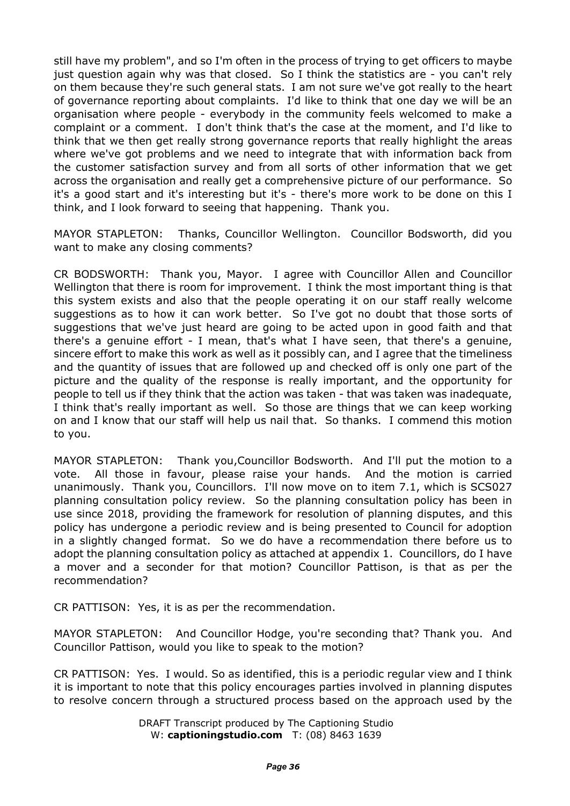still have my problem", and so I'm often in the process of trying to get officers to maybe just question again why was that closed. So I think the statistics are - you can't rely on them because they're such general stats. I am not sure we've got really to the heart of governance reporting about complaints. I'd like to think that one day we will be an organisation where people - everybody in the community feels welcomed to make a complaint or a comment. I don't think that's the case at the moment, and I'd like to think that we then get really strong governance reports that really highlight the areas where we've got problems and we need to integrate that with information back from the customer satisfaction survey and from all sorts of other information that we get across the organisation and really get a comprehensive picture of our performance. So it's a good start and it's interesting but it's - there's more work to be done on this I think, and I look forward to seeing that happening. Thank you.

MAYOR STAPLETON: Thanks, Councillor Wellington. Councillor Bodsworth, did you want to make any closing comments?

CR BODSWORTH: Thank you, Mayor. I agree with Councillor Allen and Councillor Wellington that there is room for improvement. I think the most important thing is that this system exists and also that the people operating it on our staff really welcome suggestions as to how it can work better. So I've got no doubt that those sorts of suggestions that we've just heard are going to be acted upon in good faith and that there's a genuine effort - I mean, that's what I have seen, that there's a genuine, sincere effort to make this work as well as it possibly can, and I agree that the timeliness and the quantity of issues that are followed up and checked off is only one part of the picture and the quality of the response is really important, and the opportunity for people to tell us if they think that the action was taken - that was taken was inadequate, I think that's really important as well. So those are things that we can keep working on and I know that our staff will help us nail that. So thanks. I commend this motion to you.

MAYOR STAPLETON: Thank you,Councillor Bodsworth. And I'll put the motion to a vote. All those in favour, please raise your hands. And the motion is carried unanimously. Thank you, Councillors. I'll now move on to item 7.1, which is SCS027 planning consultation policy review. So the planning consultation policy has been in use since 2018, providing the framework for resolution of planning disputes, and this policy has undergone a periodic review and is being presented to Council for adoption in a slightly changed format. So we do have a recommendation there before us to adopt the planning consultation policy as attached at appendix 1. Councillors, do I have a mover and a seconder for that motion? Councillor Pattison, is that as per the recommendation?

CR PATTISON: Yes, it is as per the recommendation.

MAYOR STAPLETON: And Councillor Hodge, you're seconding that? Thank you. And Councillor Pattison, would you like to speak to the motion?

CR PATTISON: Yes. I would. So as identified, this is a periodic regular view and I think it is important to note that this policy encourages parties involved in planning disputes to resolve concern through a structured process based on the approach used by the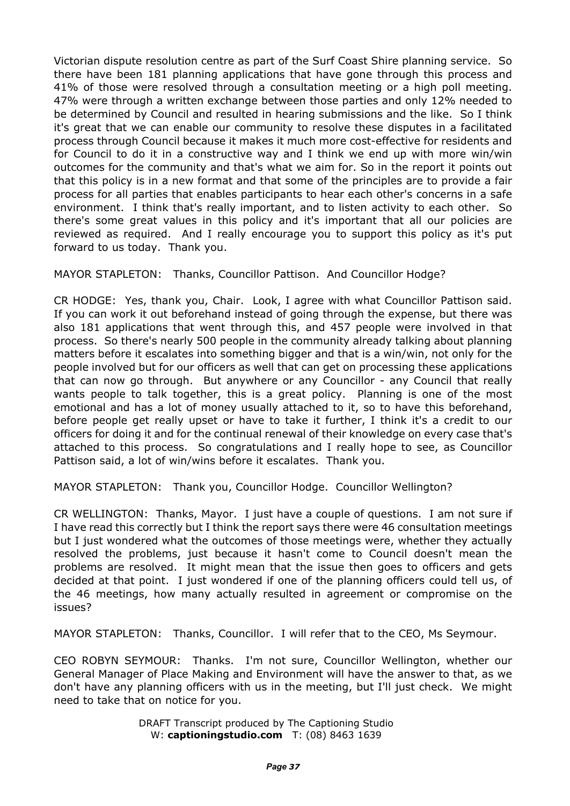Victorian dispute resolution centre as part of the Surf Coast Shire planning service. So there have been 181 planning applications that have gone through this process and 41% of those were resolved through a consultation meeting or a high poll meeting. 47% were through a written exchange between those parties and only 12% needed to be determined by Council and resulted in hearing submissions and the like. So I think it's great that we can enable our community to resolve these disputes in a facilitated process through Council because it makes it much more cost-effective for residents and for Council to do it in a constructive way and I think we end up with more win/win outcomes for the community and that's what we aim for. So in the report it points out that this policy is in a new format and that some of the principles are to provide a fair process for all parties that enables participants to hear each other's concerns in a safe environment. I think that's really important, and to listen activity to each other. So there's some great values in this policy and it's important that all our policies are reviewed as required. And I really encourage you to support this policy as it's put forward to us today. Thank you.

MAYOR STAPLETON: Thanks, Councillor Pattison. And Councillor Hodge?

CR HODGE: Yes, thank you, Chair. Look, I agree with what Councillor Pattison said. If you can work it out beforehand instead of going through the expense, but there was also 181 applications that went through this, and 457 people were involved in that process. So there's nearly 500 people in the community already talking about planning matters before it escalates into something bigger and that is a win/win, not only for the people involved but for our officers as well that can get on processing these applications that can now go through. But anywhere or any Councillor - any Council that really wants people to talk together, this is a great policy. Planning is one of the most emotional and has a lot of money usually attached to it, so to have this beforehand, before people get really upset or have to take it further, I think it's a credit to our officers for doing it and for the continual renewal of their knowledge on every case that's attached to this process. So congratulations and I really hope to see, as Councillor Pattison said, a lot of win/wins before it escalates. Thank you.

MAYOR STAPLETON: Thank you, Councillor Hodge. Councillor Wellington?

CR WELLINGTON: Thanks, Mayor. I just have a couple of questions. I am not sure if I have read this correctly but I think the report says there were 46 consultation meetings but I just wondered what the outcomes of those meetings were, whether they actually resolved the problems, just because it hasn't come to Council doesn't mean the problems are resolved. It might mean that the issue then goes to officers and gets decided at that point. I just wondered if one of the planning officers could tell us, of the 46 meetings, how many actually resulted in agreement or compromise on the issues?

MAYOR STAPLETON: Thanks, Councillor. I will refer that to the CEO, Ms Seymour.

CEO ROBYN SEYMOUR: Thanks. I'm not sure, Councillor Wellington, whether our General Manager of Place Making and Environment will have the answer to that, as we don't have any planning officers with us in the meeting, but I'll just check. We might need to take that on notice for you.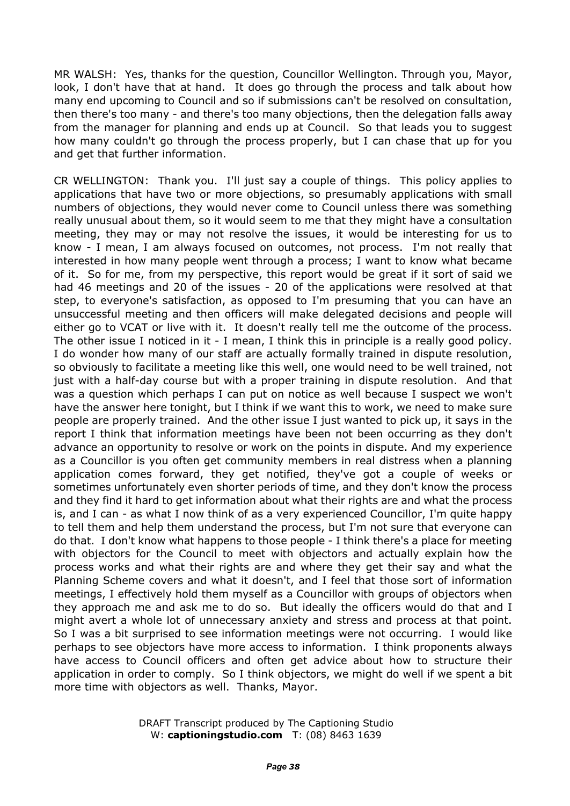MR WALSH: Yes, thanks for the question, Councillor Wellington. Through you, Mayor, look, I don't have that at hand. It does go through the process and talk about how many end upcoming to Council and so if submissions can't be resolved on consultation, then there's too many - and there's too many objections, then the delegation falls away from the manager for planning and ends up at Council. So that leads you to suggest how many couldn't go through the process properly, but I can chase that up for you and get that further information.

CR WELLINGTON: Thank you. I'll just say a couple of things. This policy applies to applications that have two or more objections, so presumably applications with small numbers of objections, they would never come to Council unless there was something really unusual about them, so it would seem to me that they might have a consultation meeting, they may or may not resolve the issues, it would be interesting for us to know - I mean, I am always focused on outcomes, not process. I'm not really that interested in how many people went through a process; I want to know what became of it. So for me, from my perspective, this report would be great if it sort of said we had 46 meetings and 20 of the issues - 20 of the applications were resolved at that step, to everyone's satisfaction, as opposed to I'm presuming that you can have an unsuccessful meeting and then officers will make delegated decisions and people will either go to VCAT or live with it. It doesn't really tell me the outcome of the process. The other issue I noticed in it - I mean, I think this in principle is a really good policy. I do wonder how many of our staff are actually formally trained in dispute resolution, so obviously to facilitate a meeting like this well, one would need to be well trained, not just with a half-day course but with a proper training in dispute resolution. And that was a question which perhaps I can put on notice as well because I suspect we won't have the answer here tonight, but I think if we want this to work, we need to make sure people are properly trained. And the other issue I just wanted to pick up, it says in the report I think that information meetings have been not been occurring as they don't advance an opportunity to resolve or work on the points in dispute. And my experience as a Councillor is you often get community members in real distress when a planning application comes forward, they get notified, they've got a couple of weeks or sometimes unfortunately even shorter periods of time, and they don't know the process and they find it hard to get information about what their rights are and what the process is, and I can - as what I now think of as a very experienced Councillor, I'm quite happy to tell them and help them understand the process, but I'm not sure that everyone can do that. I don't know what happens to those people - I think there's a place for meeting with objectors for the Council to meet with objectors and actually explain how the process works and what their rights are and where they get their say and what the Planning Scheme covers and what it doesn't, and I feel that those sort of information meetings, I effectively hold them myself as a Councillor with groups of objectors when they approach me and ask me to do so. But ideally the officers would do that and I might avert a whole lot of unnecessary anxiety and stress and process at that point. So I was a bit surprised to see information meetings were not occurring. I would like perhaps to see objectors have more access to information. I think proponents always have access to Council officers and often get advice about how to structure their application in order to comply. So I think objectors, we might do well if we spent a bit more time with objectors as well. Thanks, Mayor.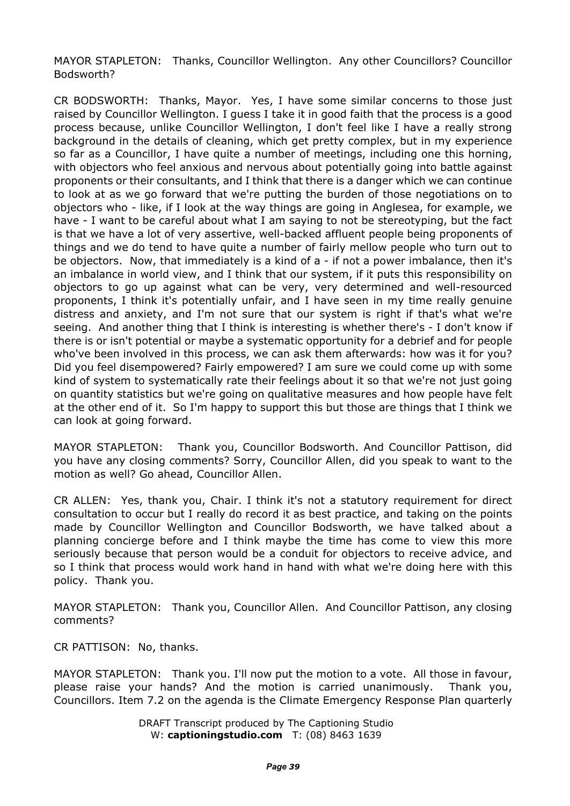MAYOR STAPLETON: Thanks, Councillor Wellington. Any other Councillors? Councillor Bodsworth?

CR BODSWORTH: Thanks, Mayor. Yes, I have some similar concerns to those just raised by Councillor Wellington. I guess I take it in good faith that the process is a good process because, unlike Councillor Wellington, I don't feel like I have a really strong background in the details of cleaning, which get pretty complex, but in my experience so far as a Councillor, I have quite a number of meetings, including one this horning, with objectors who feel anxious and nervous about potentially going into battle against proponents or their consultants, and I think that there is a danger which we can continue to look at as we go forward that we're putting the burden of those negotiations on to objectors who - like, if I look at the way things are going in Anglesea, for example, we have - I want to be careful about what I am saying to not be stereotyping, but the fact is that we have a lot of very assertive, well-backed affluent people being proponents of things and we do tend to have quite a number of fairly mellow people who turn out to be objectors. Now, that immediately is a kind of a - if not a power imbalance, then it's an imbalance in world view, and I think that our system, if it puts this responsibility on objectors to go up against what can be very, very determined and well-resourced proponents, I think it's potentially unfair, and I have seen in my time really genuine distress and anxiety, and I'm not sure that our system is right if that's what we're seeing. And another thing that I think is interesting is whether there's - I don't know if there is or isn't potential or maybe a systematic opportunity for a debrief and for people who've been involved in this process, we can ask them afterwards: how was it for you? Did you feel disempowered? Fairly empowered? I am sure we could come up with some kind of system to systematically rate their feelings about it so that we're not just going on quantity statistics but we're going on qualitative measures and how people have felt at the other end of it. So I'm happy to support this but those are things that I think we can look at going forward.

MAYOR STAPLETON: Thank you, Councillor Bodsworth. And Councillor Pattison, did you have any closing comments? Sorry, Councillor Allen, did you speak to want to the motion as well? Go ahead, Councillor Allen.

CR ALLEN: Yes, thank you, Chair. I think it's not a statutory requirement for direct consultation to occur but I really do record it as best practice, and taking on the points made by Councillor Wellington and Councillor Bodsworth, we have talked about a planning concierge before and I think maybe the time has come to view this more seriously because that person would be a conduit for objectors to receive advice, and so I think that process would work hand in hand with what we're doing here with this policy. Thank you.

MAYOR STAPLETON: Thank you, Councillor Allen. And Councillor Pattison, any closing comments?

CR PATTISON: No, thanks.

MAYOR STAPLETON: Thank you. I'll now put the motion to a vote. All those in favour, please raise your hands? And the motion is carried unanimously. Thank you, Councillors. Item 7.2 on the agenda is the Climate Emergency Response Plan quarterly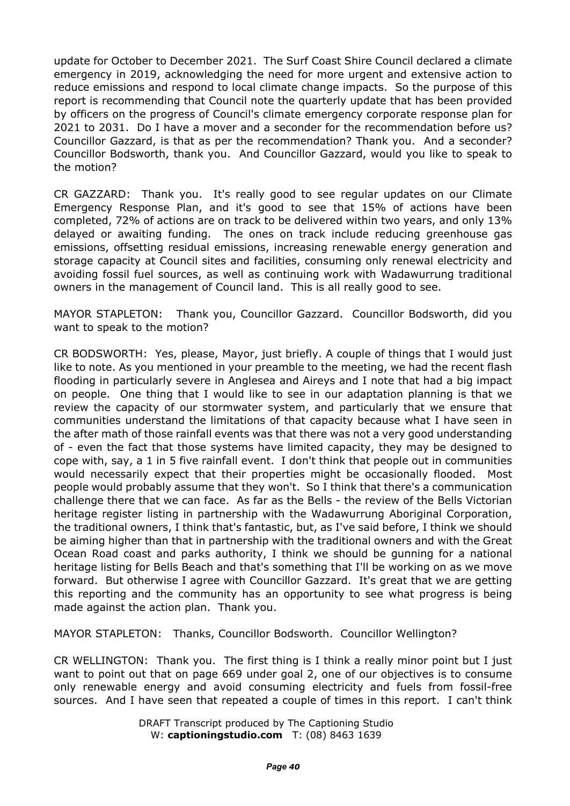update for October to December 2021. The Surf Coast Shire Council declared a climate emergency in 2019, acknowledging the need for more urgent and extensive action to reduce emissions and respond to local climate change impacts. So the purpose of this report is recommending that Council note the quarterly update that has been provided by officers on the progress of Council's climate emergency corporate response plan for 2021 to 2031. Do I have a mover and a seconder for the recommendation before us? Councillor Gazzard, is that as per the recommendation? Thank you. And a seconder? Councillor Bodsworth, thank you. And Councillor Gazzard, would you like to speak to the motion?

CR GAZZARD: Thank you. It's really good to see regular updates on our Climate Emergency Response Plan, and it's good to see that 15% of actions have been completed, 72% of actions are on track to be delivered within two years, and only 13% delayed or awaiting funding. The ones on track include reducing greenhouse gas emissions, offsetting residual emissions, increasing renewable energy generation and storage capacity at Council sites and facilities, consuming only renewal electricity and avoiding fossil fuel sources, as well as continuing work with Wadawurrung traditional owners in the management of Council land. This is all really good to see.

MAYOR STAPLETON: Thank you, Councillor Gazzard. Councillor Bodsworth, did you want to speak to the motion?

CR BODSWORTH: Yes, please, Mayor, just briefly. A couple of things that I would just like to note. As you mentioned in your preamble to the meeting, we had the recent flash flooding in particularly severe in Anglesea and Aireys and I note that had a big impact on people. One thing that I would like to see in our adaptation planning is that we review the capacity of our stormwater system, and particularly that we ensure that communities understand the limitations of that capacity because what I have seen in the after math of those rainfall events was that there was not a very good understanding of - even the fact that those systems have limited capacity, they may be designed to cope with, say, a 1 in 5 five rainfall event. I don't think that people out in communities would necessarily expect that their properties might be occasionally flooded. Most people would probably assume that they won't. So I think that there's a communication challenge there that we can face. As far as the Bells - the review of the Bells Victorian heritage register listing in partnership with the Wadawurrung Aboriginal Corporation, the traditional owners, I think that's fantastic, but, as I've said before, I think we should be aiming higher than that in partnership with the traditional owners and with the Great Ocean Road coast and parks authority, I think we should be gunning for a national heritage listing for Bells Beach and that's something that I'll be working on as we move forward. But otherwise I agree with Councillor Gazzard. It's great that we are getting this reporting and the community has an opportunity to see what progress is being made against the action plan. Thank you.

MAYOR STAPLETON: Thanks, Councillor Bodsworth. Councillor Wellington?

CR WELLINGTON: Thank you. The first thing is I think a really minor point but I just want to point out that on page 669 under goal 2, one of our objectives is to consume only renewable energy and avoid consuming electricity and fuels from fossil-free sources. And I have seen that repeated a couple of times in this report. I can't think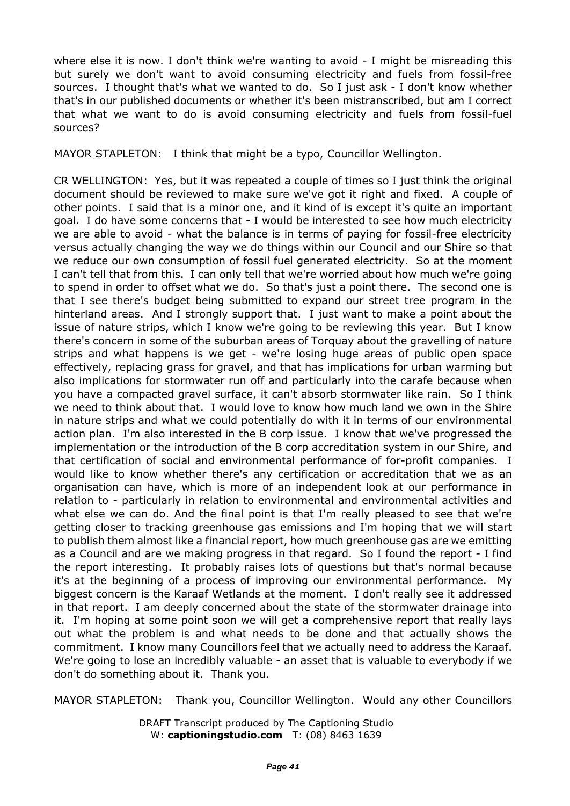where else it is now. I don't think we're wanting to avoid - I might be misreading this but surely we don't want to avoid consuming electricity and fuels from fossil-free sources. I thought that's what we wanted to do. So I just ask - I don't know whether that's in our published documents or whether it's been mistranscribed, but am I correct that what we want to do is avoid consuming electricity and fuels from fossil-fuel sources?

MAYOR STAPLETON: I think that might be a typo, Councillor Wellington.

CR WELLINGTON: Yes, but it was repeated a couple of times so I just think the original document should be reviewed to make sure we've got it right and fixed. A couple of other points. I said that is a minor one, and it kind of is except it's quite an important goal. I do have some concerns that - I would be interested to see how much electricity we are able to avoid - what the balance is in terms of paying for fossil-free electricity versus actually changing the way we do things within our Council and our Shire so that we reduce our own consumption of fossil fuel generated electricity. So at the moment I can't tell that from this. I can only tell that we're worried about how much we're going to spend in order to offset what we do. So that's just a point there. The second one is that I see there's budget being submitted to expand our street tree program in the hinterland areas. And I strongly support that. I just want to make a point about the issue of nature strips, which I know we're going to be reviewing this year. But I know there's concern in some of the suburban areas of Torquay about the gravelling of nature strips and what happens is we get - we're losing huge areas of public open space effectively, replacing grass for gravel, and that has implications for urban warming but also implications for stormwater run off and particularly into the carafe because when you have a compacted gravel surface, it can't absorb stormwater like rain. So I think we need to think about that. I would love to know how much land we own in the Shire in nature strips and what we could potentially do with it in terms of our environmental action plan. I'm also interested in the B corp issue. I know that we've progressed the implementation or the introduction of the B corp accreditation system in our Shire, and that certification of social and environmental performance of for-profit companies. I would like to know whether there's any certification or accreditation that we as an organisation can have, which is more of an independent look at our performance in relation to - particularly in relation to environmental and environmental activities and what else we can do. And the final point is that I'm really pleased to see that we're getting closer to tracking greenhouse gas emissions and I'm hoping that we will start to publish them almost like a financial report, how much greenhouse gas are we emitting as a Council and are we making progress in that regard. So I found the report - I find the report interesting. It probably raises lots of questions but that's normal because it's at the beginning of a process of improving our environmental performance. My biggest concern is the Karaaf Wetlands at the moment. I don't really see it addressed in that report. I am deeply concerned about the state of the stormwater drainage into it. I'm hoping at some point soon we will get a comprehensive report that really lays out what the problem is and what needs to be done and that actually shows the commitment. I know many Councillors feel that we actually need to address the Karaaf. We're going to lose an incredibly valuable - an asset that is valuable to everybody if we don't do something about it. Thank you.

MAYOR STAPLETON: Thank you, Councillor Wellington. Would any other Councillors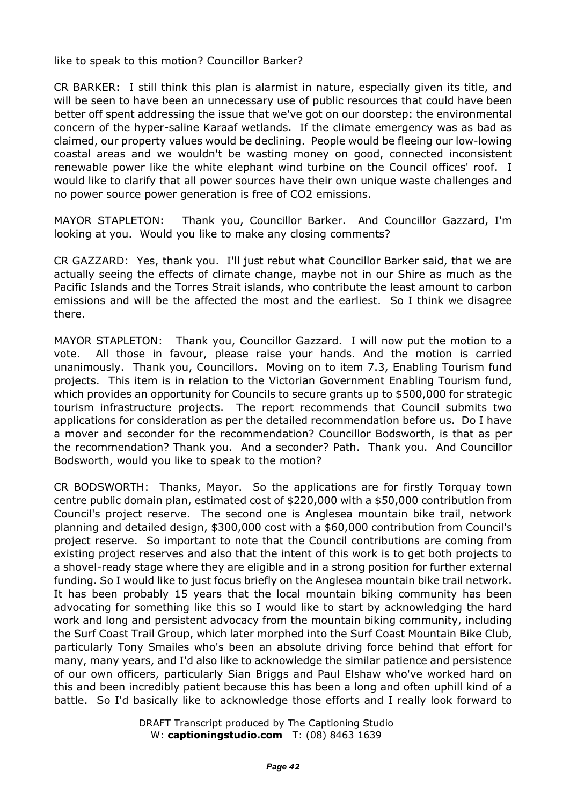like to speak to this motion? Councillor Barker?

CR BARKER: I still think this plan is alarmist in nature, especially given its title, and will be seen to have been an unnecessary use of public resources that could have been better off spent addressing the issue that we've got on our doorstep: the environmental concern of the hyper-saline Karaaf wetlands. If the climate emergency was as bad as claimed, our property values would be declining. People would be fleeing our low-lowing coastal areas and we wouldn't be wasting money on good, connected inconsistent renewable power like the white elephant wind turbine on the Council offices' roof. I would like to clarify that all power sources have their own unique waste challenges and no power source power generation is free of CO2 emissions.

MAYOR STAPLETON: Thank you, Councillor Barker. And Councillor Gazzard, I'm looking at you. Would you like to make any closing comments?

CR GAZZARD: Yes, thank you. I'll just rebut what Councillor Barker said, that we are actually seeing the effects of climate change, maybe not in our Shire as much as the Pacific Islands and the Torres Strait islands, who contribute the least amount to carbon emissions and will be the affected the most and the earliest. So I think we disagree there.

MAYOR STAPLETON: Thank you, Councillor Gazzard. I will now put the motion to a vote. All those in favour, please raise your hands. And the motion is carried unanimously. Thank you, Councillors. Moving on to item 7.3, Enabling Tourism fund projects. This item is in relation to the Victorian Government Enabling Tourism fund, which provides an opportunity for Councils to secure grants up to \$500,000 for strategic tourism infrastructure projects. The report recommends that Council submits two applications for consideration as per the detailed recommendation before us. Do I have a mover and seconder for the recommendation? Councillor Bodsworth, is that as per the recommendation? Thank you. And a seconder? Path. Thank you. And Councillor Bodsworth, would you like to speak to the motion?

CR BODSWORTH: Thanks, Mayor. So the applications are for firstly Torquay town centre public domain plan, estimated cost of \$220,000 with a \$50,000 contribution from Council's project reserve. The second one is Anglesea mountain bike trail, network planning and detailed design, \$300,000 cost with a \$60,000 contribution from Council's project reserve. So important to note that the Council contributions are coming from existing project reserves and also that the intent of this work is to get both projects to a shovel-ready stage where they are eligible and in a strong position for further external funding. So I would like to just focus briefly on the Anglesea mountain bike trail network. It has been probably 15 years that the local mountain biking community has been advocating for something like this so I would like to start by acknowledging the hard work and long and persistent advocacy from the mountain biking community, including the Surf Coast Trail Group, which later morphed into the Surf Coast Mountain Bike Club, particularly Tony Smailes who's been an absolute driving force behind that effort for many, many years, and I'd also like to acknowledge the similar patience and persistence of our own officers, particularly Sian Briggs and Paul Elshaw who've worked hard on this and been incredibly patient because this has been a long and often uphill kind of a battle. So I'd basically like to acknowledge those efforts and I really look forward to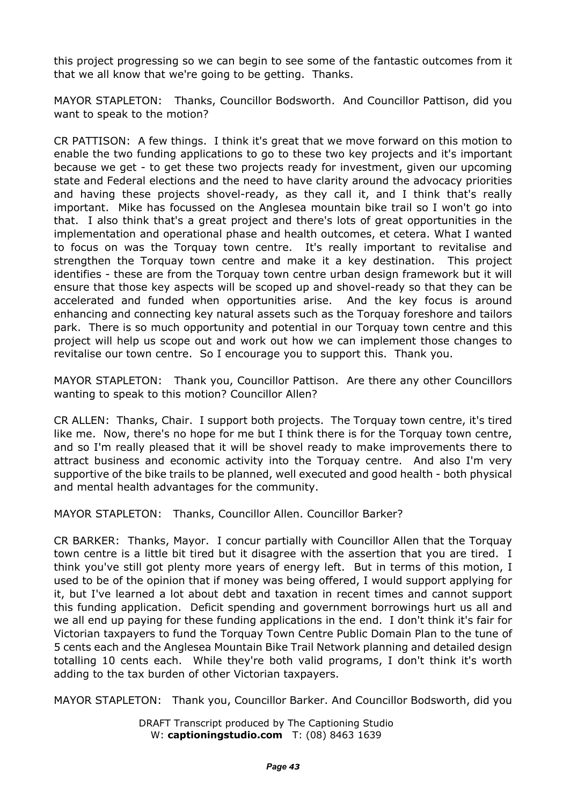this project progressing so we can begin to see some of the fantastic outcomes from it that we all know that we're going to be getting. Thanks.

MAYOR STAPLETON: Thanks, Councillor Bodsworth. And Councillor Pattison, did you want to speak to the motion?

CR PATTISON: A few things. I think it's great that we move forward on this motion to enable the two funding applications to go to these two key projects and it's important because we get - to get these two projects ready for investment, given our upcoming state and Federal elections and the need to have clarity around the advocacy priorities and having these projects shovel-ready, as they call it, and I think that's really important. Mike has focussed on the Anglesea mountain bike trail so I won't go into that. I also think that's a great project and there's lots of great opportunities in the implementation and operational phase and health outcomes, et cetera. What I wanted to focus on was the Torquay town centre. It's really important to revitalise and strengthen the Torquay town centre and make it a key destination. This project identifies - these are from the Torquay town centre urban design framework but it will ensure that those key aspects will be scoped up and shovel-ready so that they can be accelerated and funded when opportunities arise. And the key focus is around enhancing and connecting key natural assets such as the Torquay foreshore and tailors park. There is so much opportunity and potential in our Torquay town centre and this project will help us scope out and work out how we can implement those changes to revitalise our town centre. So I encourage you to support this. Thank you.

MAYOR STAPLETON: Thank you, Councillor Pattison. Are there any other Councillors wanting to speak to this motion? Councillor Allen?

CR ALLEN: Thanks, Chair. I support both projects. The Torquay town centre, it's tired like me. Now, there's no hope for me but I think there is for the Torquay town centre, and so I'm really pleased that it will be shovel ready to make improvements there to attract business and economic activity into the Torquay centre. And also I'm very supportive of the bike trails to be planned, well executed and good health - both physical and mental health advantages for the community.

MAYOR STAPLETON: Thanks, Councillor Allen. Councillor Barker?

CR BARKER: Thanks, Mayor. I concur partially with Councillor Allen that the Torquay town centre is a little bit tired but it disagree with the assertion that you are tired. I think you've still got plenty more years of energy left. But in terms of this motion, I used to be of the opinion that if money was being offered, I would support applying for it, but I've learned a lot about debt and taxation in recent times and cannot support this funding application. Deficit spending and government borrowings hurt us all and we all end up paying for these funding applications in the end. I don't think it's fair for Victorian taxpayers to fund the Torquay Town Centre Public Domain Plan to the tune of 5 cents each and the Anglesea Mountain Bike Trail Network planning and detailed design totalling 10 cents each. While they're both valid programs, I don't think it's worth adding to the tax burden of other Victorian taxpayers.

MAYOR STAPLETON: Thank you, Councillor Barker. And Councillor Bodsworth, did you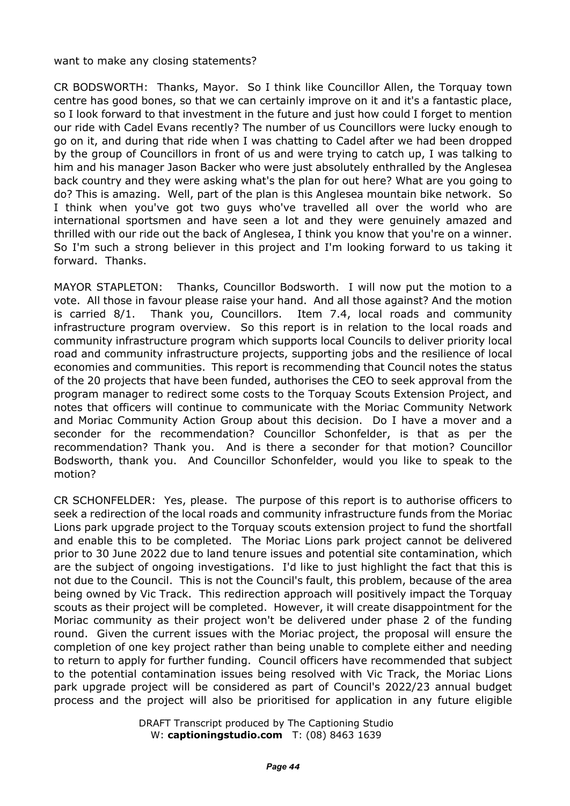#### want to make any closing statements?

CR BODSWORTH: Thanks, Mayor. So I think like Councillor Allen, the Torquay town centre has good bones, so that we can certainly improve on it and it's a fantastic place, so I look forward to that investment in the future and just how could I forget to mention our ride with Cadel Evans recently? The number of us Councillors were lucky enough to go on it, and during that ride when I was chatting to Cadel after we had been dropped by the group of Councillors in front of us and were trying to catch up, I was talking to him and his manager Jason Backer who were just absolutely enthralled by the Anglesea back country and they were asking what's the plan for out here? What are you going to do? This is amazing. Well, part of the plan is this Anglesea mountain bike network. So I think when you've got two guys who've travelled all over the world who are international sportsmen and have seen a lot and they were genuinely amazed and thrilled with our ride out the back of Anglesea, I think you know that you're on a winner. So I'm such a strong believer in this project and I'm looking forward to us taking it forward. Thanks.

MAYOR STAPLETON: Thanks, Councillor Bodsworth. I will now put the motion to a vote. All those in favour please raise your hand. And all those against? And the motion is carried 8/1. Thank you, Councillors. Item 7.4, local roads and community infrastructure program overview. So this report is in relation to the local roads and community infrastructure program which supports local Councils to deliver priority local road and community infrastructure projects, supporting jobs and the resilience of local economies and communities. This report is recommending that Council notes the status of the 20 projects that have been funded, authorises the CEO to seek approval from the program manager to redirect some costs to the Torquay Scouts Extension Project, and notes that officers will continue to communicate with the Moriac Community Network and Moriac Community Action Group about this decision. Do I have a mover and a seconder for the recommendation? Councillor Schonfelder, is that as per the recommendation? Thank you. And is there a seconder for that motion? Councillor Bodsworth, thank you. And Councillor Schonfelder, would you like to speak to the motion?

CR SCHONFELDER: Yes, please. The purpose of this report is to authorise officers to seek a redirection of the local roads and community infrastructure funds from the Moriac Lions park upgrade project to the Torquay scouts extension project to fund the shortfall and enable this to be completed. The Moriac Lions park project cannot be delivered prior to 30 June 2022 due to land tenure issues and potential site contamination, which are the subject of ongoing investigations. I'd like to just highlight the fact that this is not due to the Council. This is not the Council's fault, this problem, because of the area being owned by Vic Track. This redirection approach will positively impact the Torquay scouts as their project will be completed. However, it will create disappointment for the Moriac community as their project won't be delivered under phase 2 of the funding round. Given the current issues with the Moriac project, the proposal will ensure the completion of one key project rather than being unable to complete either and needing to return to apply for further funding. Council officers have recommended that subject to the potential contamination issues being resolved with Vic Track, the Moriac Lions park upgrade project will be considered as part of Council's 2022/23 annual budget process and the project will also be prioritised for application in any future eligible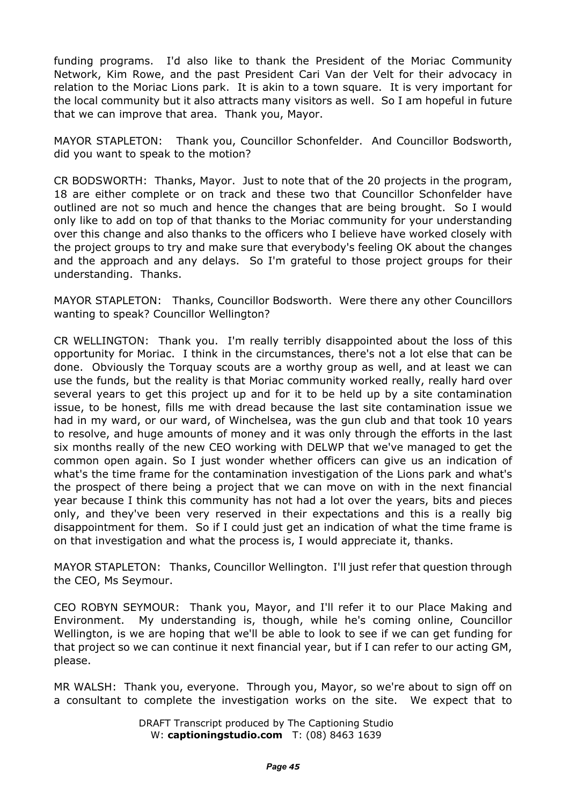funding programs. I'd also like to thank the President of the Moriac Community Network, Kim Rowe, and the past President Cari Van der Velt for their advocacy in relation to the Moriac Lions park. It is akin to a town square. It is very important for the local community but it also attracts many visitors as well. So I am hopeful in future that we can improve that area. Thank you, Mayor.

MAYOR STAPLETON: Thank you, Councillor Schonfelder. And Councillor Bodsworth, did you want to speak to the motion?

CR BODSWORTH: Thanks, Mayor. Just to note that of the 20 projects in the program, 18 are either complete or on track and these two that Councillor Schonfelder have outlined are not so much and hence the changes that are being brought. So I would only like to add on top of that thanks to the Moriac community for your understanding over this change and also thanks to the officers who I believe have worked closely with the project groups to try and make sure that everybody's feeling OK about the changes and the approach and any delays. So I'm grateful to those project groups for their understanding. Thanks.

MAYOR STAPLETON: Thanks, Councillor Bodsworth. Were there any other Councillors wanting to speak? Councillor Wellington?

CR WELLINGTON: Thank you. I'm really terribly disappointed about the loss of this opportunity for Moriac. I think in the circumstances, there's not a lot else that can be done. Obviously the Torquay scouts are a worthy group as well, and at least we can use the funds, but the reality is that Moriac community worked really, really hard over several years to get this project up and for it to be held up by a site contamination issue, to be honest, fills me with dread because the last site contamination issue we had in my ward, or our ward, of Winchelsea, was the gun club and that took 10 years to resolve, and huge amounts of money and it was only through the efforts in the last six months really of the new CEO working with DELWP that we've managed to get the common open again. So I just wonder whether officers can give us an indication of what's the time frame for the contamination investigation of the Lions park and what's the prospect of there being a project that we can move on with in the next financial year because I think this community has not had a lot over the years, bits and pieces only, and they've been very reserved in their expectations and this is a really big disappointment for them. So if I could just get an indication of what the time frame is on that investigation and what the process is, I would appreciate it, thanks.

MAYOR STAPLETON: Thanks, Councillor Wellington. I'll just refer that question through the CEO, Ms Seymour.

CEO ROBYN SEYMOUR: Thank you, Mayor, and I'll refer it to our Place Making and Environment. My understanding is, though, while he's coming online, Councillor Wellington, is we are hoping that we'll be able to look to see if we can get funding for that project so we can continue it next financial year, but if I can refer to our acting GM, please.

MR WALSH: Thank you, everyone. Through you, Mayor, so we're about to sign off on a consultant to complete the investigation works on the site. We expect that to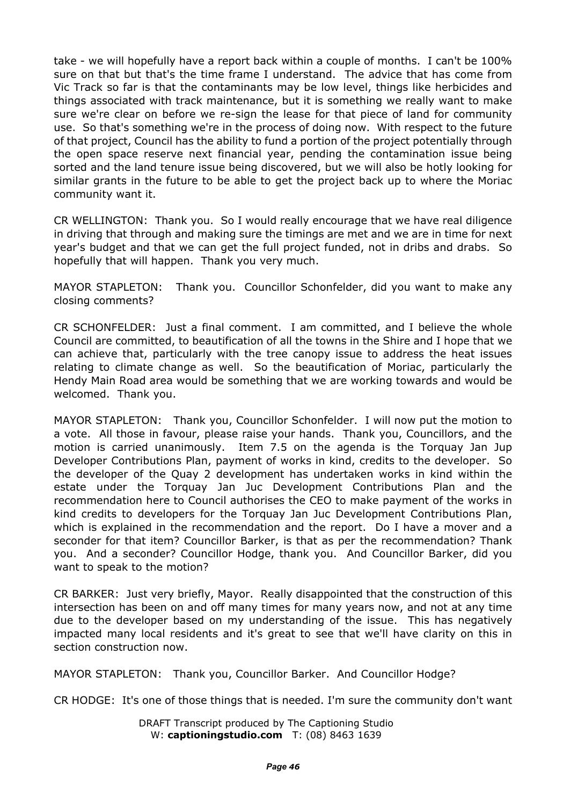take - we will hopefully have a report back within a couple of months. I can't be 100% sure on that but that's the time frame I understand. The advice that has come from Vic Track so far is that the contaminants may be low level, things like herbicides and things associated with track maintenance, but it is something we really want to make sure we're clear on before we re-sign the lease for that piece of land for community use. So that's something we're in the process of doing now. With respect to the future of that project, Council has the ability to fund a portion of the project potentially through the open space reserve next financial year, pending the contamination issue being sorted and the land tenure issue being discovered, but we will also be hotly looking for similar grants in the future to be able to get the project back up to where the Moriac community want it.

CR WELLINGTON: Thank you. So I would really encourage that we have real diligence in driving that through and making sure the timings are met and we are in time for next year's budget and that we can get the full project funded, not in dribs and drabs. So hopefully that will happen. Thank you very much.

MAYOR STAPLETON: Thank you. Councillor Schonfelder, did you want to make any closing comments?

CR SCHONFELDER: Just a final comment. I am committed, and I believe the whole Council are committed, to beautification of all the towns in the Shire and I hope that we can achieve that, particularly with the tree canopy issue to address the heat issues relating to climate change as well. So the beautification of Moriac, particularly the Hendy Main Road area would be something that we are working towards and would be welcomed. Thank you.

MAYOR STAPLETON: Thank you, Councillor Schonfelder. I will now put the motion to a vote. All those in favour, please raise your hands. Thank you, Councillors, and the motion is carried unanimously. Item 7.5 on the agenda is the Torquay Jan Jup Developer Contributions Plan, payment of works in kind, credits to the developer. So the developer of the Quay 2 development has undertaken works in kind within the estate under the Torquay Jan Juc Development Contributions Plan and the recommendation here to Council authorises the CEO to make payment of the works in kind credits to developers for the Torquay Jan Juc Development Contributions Plan, which is explained in the recommendation and the report. Do I have a mover and a seconder for that item? Councillor Barker, is that as per the recommendation? Thank you. And a seconder? Councillor Hodge, thank you. And Councillor Barker, did you want to speak to the motion?

CR BARKER: Just very briefly, Mayor. Really disappointed that the construction of this intersection has been on and off many times for many years now, and not at any time due to the developer based on my understanding of the issue. This has negatively impacted many local residents and it's great to see that we'll have clarity on this in section construction now.

MAYOR STAPLETON: Thank you, Councillor Barker. And Councillor Hodge?

CR HODGE: It's one of those things that is needed. I'm sure the community don't want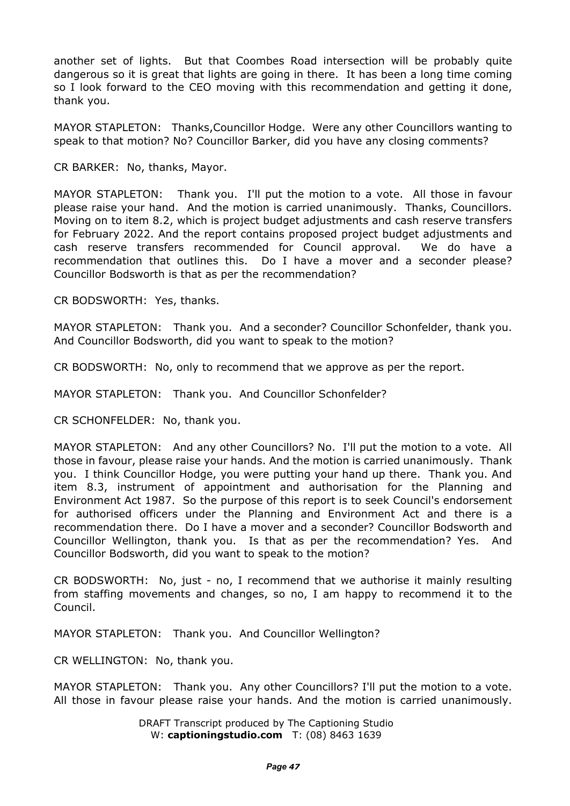another set of lights. But that Coombes Road intersection will be probably quite dangerous so it is great that lights are going in there. It has been a long time coming so I look forward to the CEO moving with this recommendation and getting it done, thank you.

MAYOR STAPLETON: Thanks,Councillor Hodge. Were any other Councillors wanting to speak to that motion? No? Councillor Barker, did you have any closing comments?

CR BARKER: No, thanks, Mayor.

MAYOR STAPLETON: Thank you. I'll put the motion to a vote. All those in favour please raise your hand. And the motion is carried unanimously. Thanks, Councillors. Moving on to item 8.2, which is project budget adjustments and cash reserve transfers for February 2022. And the report contains proposed project budget adjustments and cash reserve transfers recommended for Council approval. We do have a recommendation that outlines this. Do I have a mover and a seconder please? Councillor Bodsworth is that as per the recommendation?

CR BODSWORTH: Yes, thanks.

MAYOR STAPLETON: Thank you. And a seconder? Councillor Schonfelder, thank you. And Councillor Bodsworth, did you want to speak to the motion?

CR BODSWORTH: No, only to recommend that we approve as per the report.

MAYOR STAPLETON: Thank you. And Councillor Schonfelder?

CR SCHONFELDER: No, thank you.

MAYOR STAPLETON: And any other Councillors? No. I'll put the motion to a vote. All those in favour, please raise your hands. And the motion is carried unanimously. Thank you. I think Councillor Hodge, you were putting your hand up there. Thank you. And item 8.3, instrument of appointment and authorisation for the Planning and Environment Act 1987. So the purpose of this report is to seek Council's endorsement for authorised officers under the Planning and Environment Act and there is a recommendation there. Do I have a mover and a seconder? Councillor Bodsworth and Councillor Wellington, thank you. Is that as per the recommendation? Yes. And Councillor Bodsworth, did you want to speak to the motion?

CR BODSWORTH: No, just - no, I recommend that we authorise it mainly resulting from staffing movements and changes, so no, I am happy to recommend it to the Council.

MAYOR STAPLETON: Thank you. And Councillor Wellington?

CR WELLINGTON: No, thank you.

MAYOR STAPLETON: Thank you. Any other Councillors? I'll put the motion to a vote. All those in favour please raise your hands. And the motion is carried unanimously.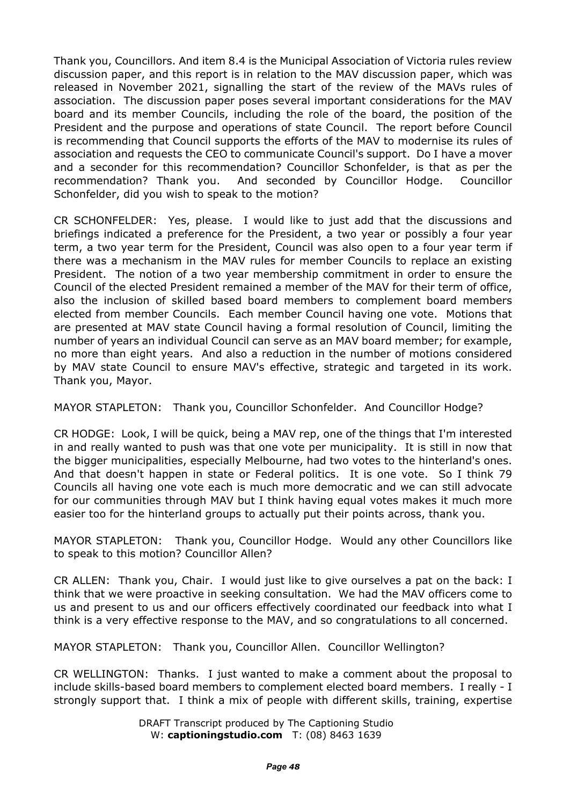Thank you, Councillors. And item 8.4 is the Municipal Association of Victoria rules review discussion paper, and this report is in relation to the MAV discussion paper, which was released in November 2021, signalling the start of the review of the MAVs rules of association. The discussion paper poses several important considerations for the MAV board and its member Councils, including the role of the board, the position of the President and the purpose and operations of state Council. The report before Council is recommending that Council supports the efforts of the MAV to modernise its rules of association and requests the CEO to communicate Council's support. Do I have a mover and a seconder for this recommendation? Councillor Schonfelder, is that as per the recommendation? Thank you. And seconded by Councillor Hodge. Councillor Schonfelder, did you wish to speak to the motion?

CR SCHONFELDER: Yes, please. I would like to just add that the discussions and briefings indicated a preference for the President, a two year or possibly a four year term, a two year term for the President, Council was also open to a four year term if there was a mechanism in the MAV rules for member Councils to replace an existing President. The notion of a two year membership commitment in order to ensure the Council of the elected President remained a member of the MAV for their term of office, also the inclusion of skilled based board members to complement board members elected from member Councils. Each member Council having one vote. Motions that are presented at MAV state Council having a formal resolution of Council, limiting the number of years an individual Council can serve as an MAV board member; for example, no more than eight years. And also a reduction in the number of motions considered by MAV state Council to ensure MAV's effective, strategic and targeted in its work. Thank you, Mayor.

MAYOR STAPLETON: Thank you, Councillor Schonfelder. And Councillor Hodge?

CR HODGE: Look, I will be quick, being a MAV rep, one of the things that I'm interested in and really wanted to push was that one vote per municipality. It is still in now that the bigger municipalities, especially Melbourne, had two votes to the hinterland's ones. And that doesn't happen in state or Federal politics. It is one vote. So I think 79 Councils all having one vote each is much more democratic and we can still advocate for our communities through MAV but I think having equal votes makes it much more easier too for the hinterland groups to actually put their points across, thank you.

MAYOR STAPLETON: Thank you, Councillor Hodge. Would any other Councillors like to speak to this motion? Councillor Allen?

CR ALLEN: Thank you, Chair. I would just like to give ourselves a pat on the back: I think that we were proactive in seeking consultation. We had the MAV officers come to us and present to us and our officers effectively coordinated our feedback into what I think is a very effective response to the MAV, and so congratulations to all concerned.

MAYOR STAPLETON: Thank you, Councillor Allen. Councillor Wellington?

CR WELLINGTON: Thanks. I just wanted to make a comment about the proposal to include skills-based board members to complement elected board members. I really - I strongly support that. I think a mix of people with different skills, training, expertise